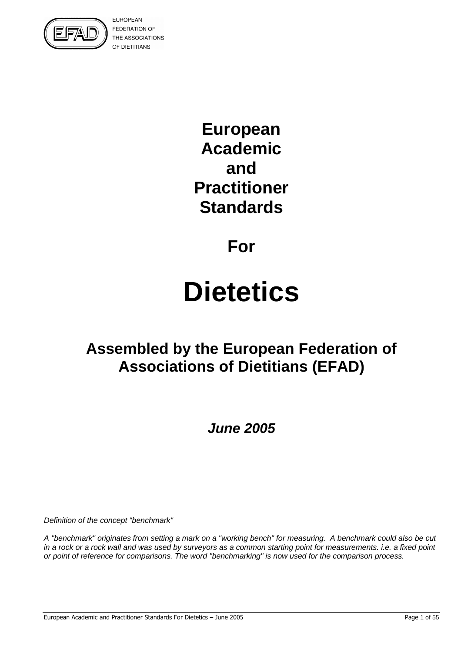

> **European Academic and Practitioner Standards**

> > **For**

# **Dietetics**

# **Assembled by the European Federation of Associations of Dietitians (EFAD)**

*June 2005*

*Definition of the concept "benchmark"*

*A "benchmark" originates from setting a mark on a "working bench" for measuring. A benchmark could also be cut in a rock or a rock wall and was used by surveyors as a common starting point for measurements. i.e. a fixed point or point of reference for comparisons. The word "benchmarking" is now used for the comparison process.*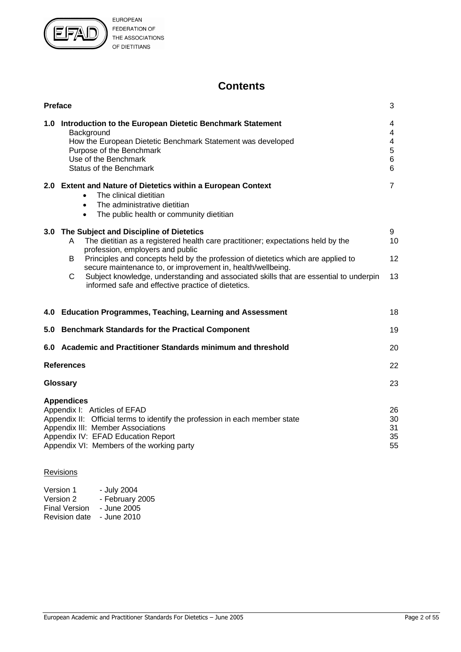

# **Contents**

| 1.0 Introduction to the European Dietetic Benchmark Statement<br>4<br>Background<br>4<br>$\overline{\mathbf{4}}$<br>How the European Dietetic Benchmark Statement was developed<br>5<br>Purpose of the Benchmark<br>Use of the Benchmark<br>6<br><b>Status of the Benchmark</b><br>6<br>2.0 Extent and Nature of Dietetics within a European Context<br>7<br>The clinical dietitian<br>The administrative dietitian<br>$\bullet$<br>The public health or community dietitian<br>$\bullet$<br>9<br>3.0 The Subject and Discipline of Dietetics<br>10<br>The dietitian as a registered health care practitioner; expectations held by the<br>A<br>profession, employers and public<br>Principles and concepts held by the profession of dietetics which are applied to<br>B<br>12<br>secure maintenance to, or improvement in, health/wellbeing.<br>Subject knowledge, understanding and associated skills that are essential to underpin<br>13<br>С<br>informed safe and effective practice of dietetics.<br><b>Education Programmes, Teaching, Learning and Assessment</b><br>18<br>4.0<br><b>Benchmark Standards for the Practical Component</b><br>19<br>5.0<br>6.0 Academic and Practitioner Standards minimum and threshold<br>20<br>22<br><b>References</b><br>Glossary<br>23<br><b>Appendices</b><br>Appendix I: Articles of EFAD<br>26<br>30<br>Appendix II: Official terms to identify the profession in each member state<br>Appendix III: Member Associations<br>31<br>Appendix IV: EFAD Education Report<br>35<br>55<br>Appendix VI: Members of the working party | <b>Preface</b> | 3 |  |
|------------------------------------------------------------------------------------------------------------------------------------------------------------------------------------------------------------------------------------------------------------------------------------------------------------------------------------------------------------------------------------------------------------------------------------------------------------------------------------------------------------------------------------------------------------------------------------------------------------------------------------------------------------------------------------------------------------------------------------------------------------------------------------------------------------------------------------------------------------------------------------------------------------------------------------------------------------------------------------------------------------------------------------------------------------------------------------------------------------------------------------------------------------------------------------------------------------------------------------------------------------------------------------------------------------------------------------------------------------------------------------------------------------------------------------------------------------------------------------------------------------------------------------------------------------------------------|----------------|---|--|
|                                                                                                                                                                                                                                                                                                                                                                                                                                                                                                                                                                                                                                                                                                                                                                                                                                                                                                                                                                                                                                                                                                                                                                                                                                                                                                                                                                                                                                                                                                                                                                              |                |   |  |
|                                                                                                                                                                                                                                                                                                                                                                                                                                                                                                                                                                                                                                                                                                                                                                                                                                                                                                                                                                                                                                                                                                                                                                                                                                                                                                                                                                                                                                                                                                                                                                              |                |   |  |
|                                                                                                                                                                                                                                                                                                                                                                                                                                                                                                                                                                                                                                                                                                                                                                                                                                                                                                                                                                                                                                                                                                                                                                                                                                                                                                                                                                                                                                                                                                                                                                              |                |   |  |
|                                                                                                                                                                                                                                                                                                                                                                                                                                                                                                                                                                                                                                                                                                                                                                                                                                                                                                                                                                                                                                                                                                                                                                                                                                                                                                                                                                                                                                                                                                                                                                              |                |   |  |
|                                                                                                                                                                                                                                                                                                                                                                                                                                                                                                                                                                                                                                                                                                                                                                                                                                                                                                                                                                                                                                                                                                                                                                                                                                                                                                                                                                                                                                                                                                                                                                              |                |   |  |
|                                                                                                                                                                                                                                                                                                                                                                                                                                                                                                                                                                                                                                                                                                                                                                                                                                                                                                                                                                                                                                                                                                                                                                                                                                                                                                                                                                                                                                                                                                                                                                              |                |   |  |
|                                                                                                                                                                                                                                                                                                                                                                                                                                                                                                                                                                                                                                                                                                                                                                                                                                                                                                                                                                                                                                                                                                                                                                                                                                                                                                                                                                                                                                                                                                                                                                              |                |   |  |
|                                                                                                                                                                                                                                                                                                                                                                                                                                                                                                                                                                                                                                                                                                                                                                                                                                                                                                                                                                                                                                                                                                                                                                                                                                                                                                                                                                                                                                                                                                                                                                              |                |   |  |
|                                                                                                                                                                                                                                                                                                                                                                                                                                                                                                                                                                                                                                                                                                                                                                                                                                                                                                                                                                                                                                                                                                                                                                                                                                                                                                                                                                                                                                                                                                                                                                              |                |   |  |

### **Revisions**

| Version 1            | - July 2004     |
|----------------------|-----------------|
| Version 2            | - February 2005 |
| <b>Final Version</b> | - June 2005     |
| <b>Revision date</b> | - June 2010     |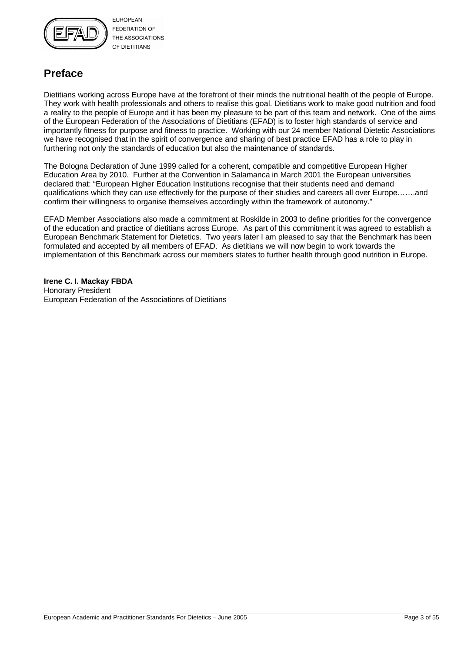

# **Preface**

Dietitians working across Europe have at the forefront of their minds the nutritional health of the people of Europe. They work with health professionals and others to realise this goal. Dietitians work to make good nutrition and food a reality to the people of Europe and it has been my pleasure to be part of this team and network. One of the aims of the European Federation of the Associations of Dietitians (EFAD) is to foster high standards of service and importantly fitness for purpose and fitness to practice. Working with our 24 member National Dietetic Associations we have recognised that in the spirit of convergence and sharing of best practice EFAD has a role to play in furthering not only the standards of education but also the maintenance of standards.

The Bologna Declaration of June 1999 called for a coherent, compatible and competitive European Higher Education Area by 2010. Further at the Convention in Salamanca in March 2001 the European universities declared that: "European Higher Education Institutions recognise that their students need and demand qualifications which they can use effectively for the purpose of their studies and careers all over Europe…….and confirm their willingness to organise themselves accordingly within the framework of autonomy."

EFAD Member Associations also made a commitment at Roskilde in 2003 to define priorities for the convergence of the education and practice of dietitians across Europe. As part of this commitment it was agreed to establish a European Benchmark Statement for Dietetics. Two years later I am pleased to say that the Benchmark has been formulated and accepted by all members of EFAD. As dietitians we will now begin to work towards the implementation of this Benchmark across our members states to further health through good nutrition in Europe.

**Irene C. I. Mackay FBDA** Honorary President European Federation of the Associations of Dietitians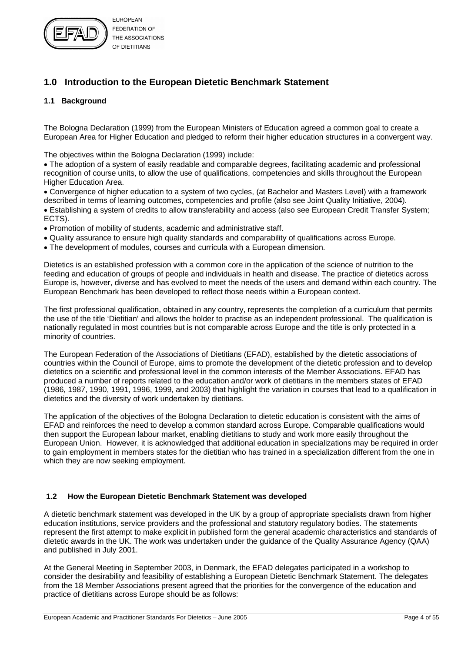

# **1.0 Introduction to the European Dietetic Benchmark Statement**

### **1.1 Background**

The Bologna Declaration (1999) from the European Ministers of Education agreed a common goal to create a European Area for Higher Education and pledged to reform their higher education structures in a convergent way.

The objectives within the Bologna Declaration (1999) include:

 The adoption of a system of easily readable and comparable degrees, facilitating academic and professional recognition of course units, to allow the use of qualifications, competencies and skills throughout the European Higher Education Area.

 Convergence of higher education to a system of two cycles, (at Bachelor and Masters Level) with a framework described in terms of learning outcomes, competencies and profile (also see Joint Quality Initiative, 2004).

 Establishing a system of credits to allow transferability and access (also see European Credit Transfer System; ECTS).

- Promotion of mobility of students, academic and administrative staff.
- Quality assurance to ensure high quality standards and comparability of qualifications across Europe.
- The development of modules, courses and curricula with a European dimension.

Dietetics is an established profession with a common core in the application of the science of nutrition to the feeding and education of groups of people and individuals in health and disease. The practice of dietetics across Europe is, however, diverse and has evolved to meet the needs of the users and demand within each country. The European Benchmark has been developed to reflect those needs within a European context.

The first professional qualification, obtained in any country, represents the completion of a curriculum that permits the use of the title 'Dietitian' and allows the holder to practise as an independent professional. The qualification is nationally regulated in most countries but is not comparable across Europe and the title is only protected in a minority of countries.

The European Federation of the Associations of Dietitians (EFAD), established by the dietetic associations of countries within the Council of Europe, aims to promote the development of the dietetic profession and to develop dietetics on a scientific and professional level in the common interests of the Member Associations. EFAD has produced a number of reports related to the education and/or work of dietitians in the members states of EFAD (1986, 1987, 1990, 1991, 1996, 1999, and 2003) that highlight the variation in courses that lead to a qualification in dietetics and the diversity of work undertaken by dietitians.

The application of the objectives of the Bologna Declaration to dietetic education is consistent with the aims of EFAD and reinforces the need to develop a common standard across Europe. Comparable qualifications would then support the European labour market, enabling dietitians to study and work more easily throughout the European Union. However, it is acknowledged that additional education in specializations may be required in order to gain employment in members states for the dietitian who has trained in a specialization different from the one in which they are now seeking employment.

### **1.2 How the European Dietetic Benchmark Statement was developed**

A dietetic benchmark statement was developed in the UK by a group of appropriate specialists drawn from higher education institutions, service providers and the professional and statutory regulatory bodies. The statements represent the first attempt to make explicit in published form the general academic characteristics and standards of dietetic awards in the UK. The work was undertaken under the guidance of the Quality Assurance Agency (QAA) and published in July 2001.

At the General Meeting in September 2003, in Denmark, the EFAD delegates participated in a workshop to consider the desirability and feasibility of establishing a European Dietetic Benchmark Statement. The delegates from the 18 Member Associations present agreed that the priorities for the convergence of the education and practice of dietitians across Europe should be as follows: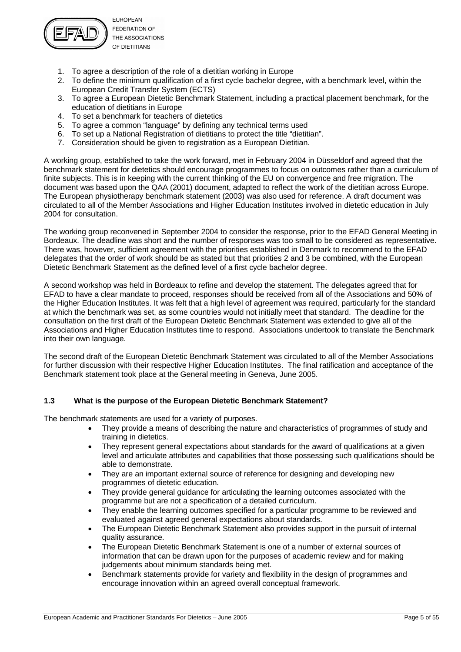

- 1. To agree a description of the role of a dietitian working in Europe
- 2. To define the minimum qualification of a first cycle bachelor degree, with a benchmark level, within the European Credit Transfer System (ECTS)
- 3. To agree a European Dietetic Benchmark Statement, including a practical placement benchmark, for the education of dietitians in Europe
- 4. To set a benchmark for teachers of dietetics
- 5. To agree a common "language" by defining any technical terms used
- 6. To set up a National Registration of dietitians to protect the title "dietitian".
- 7. Consideration should be given to registration as a European Dietitian.

A working group, established to take the work forward, met in February 2004 in Düsseldorf and agreed that the benchmark statement for dietetics should encourage programmes to focus on outcomes rather than a curriculum of finite subjects. This is in keeping with the current thinking of the EU on convergence and free migration. The document was based upon the QAA (2001) document, adapted to reflect the work of the dietitian across Europe. The European physiotherapy benchmark statement (2003) was also used for reference. A draft document was circulated to all of the Member Associations and Higher Education Institutes involved in dietetic education in July 2004 for consultation.

The working group reconvened in September 2004 to consider the response, prior to the EFAD General Meeting in Bordeaux. The deadline was short and the number of responses was too small to be considered as representative. There was, however, sufficient agreement with the priorities established in Denmark to recommend to the EFAD delegates that the order of work should be as stated but that priorities 2 and 3 be combined, with the European Dietetic Benchmark Statement as the defined level of a first cycle bachelor degree.

A second workshop was held in Bordeaux to refine and develop the statement. The delegates agreed that for EFAD to have a clear mandate to proceed, responses should be received from all of the Associations and 50% of the Higher Education Institutes. It was felt that a high level of agreement was required, particularly for the standard at which the benchmark was set, as some countries would not initially meet that standard. The deadline for the consultation on the first draft of the European Dietetic Benchmark Statement was extended to give all of the Associations and Higher Education Institutes time to respond. Associations undertook to translate the Benchmark into their own language.

The second draft of the European Dietetic Benchmark Statement was circulated to all of the Member Associations for further discussion with their respective Higher Education Institutes. The final ratification and acceptance of the Benchmark statement took place at the General meeting in Geneva, June 2005.

### **1.3 What is the purpose of the European Dietetic Benchmark Statement?**

The benchmark statements are used for a variety of purposes.

- They provide a means of describing the nature and characteristics of programmes of study and training in dietetics.
- They represent general expectations about standards for the award of qualifications at a given level and articulate attributes and capabilities that those possessing such qualifications should be able to demonstrate.
- They are an important external source of reference for designing and developing new programmes of dietetic education.
- They provide general guidance for articulating the learning outcomes associated with the programme but are not a specification of a detailed curriculum.
- They enable the learning outcomes specified for a particular programme to be reviewed and evaluated against agreed general expectations about standards.
- The European Dietetic Benchmark Statement also provides support in the pursuit of internal quality assurance.
- The European Dietetic Benchmark Statement is one of a number of external sources of information that can be drawn upon for the purposes of academic review and for making judgements about minimum standards being met.
- Benchmark statements provide for variety and flexibility in the design of programmes and encourage innovation within an agreed overall conceptual framework.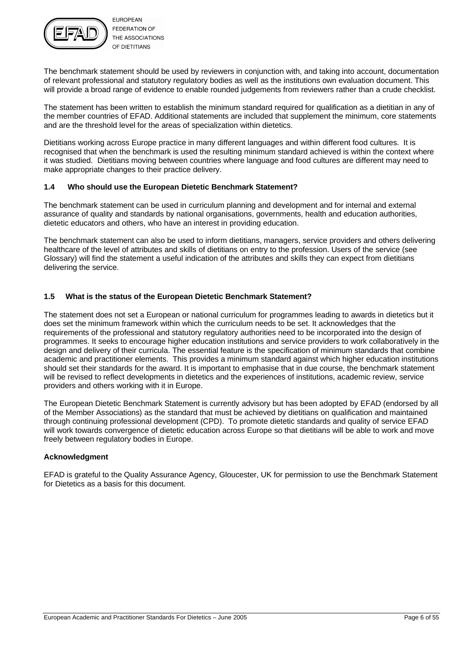

The benchmark statement should be used by reviewers in conjunction with, and taking into account, documentation of relevant professional and statutory regulatory bodies as well as the institutions own evaluation document. This will provide a broad range of evidence to enable rounded judgements from reviewers rather than a crude checklist.

The statement has been written to establish the minimum standard required for qualification as a dietitian in any of the member countries of EFAD. Additional statements are included that supplement the minimum, core statements and are the threshold level for the areas of specialization within dietetics.

Dietitians working across Europe practice in many different languages and within different food cultures. It is recognised that when the benchmark is used the resulting minimum standard achieved is within the context where it was studied. Dietitians moving between countries where language and food cultures are different may need to make appropriate changes to their practice delivery.

### **1.4 Who should use the European Dietetic Benchmark Statement?**

The benchmark statement can be used in curriculum planning and development and for internal and external assurance of quality and standards by national organisations, governments, health and education authorities, dietetic educators and others, who have an interest in providing education.

The benchmark statement can also be used to inform dietitians, managers, service providers and others delivering healthcare of the level of attributes and skills of dietitians on entry to the profession. Users of the service (see Glossary) will find the statement a useful indication of the attributes and skills they can expect from dietitians delivering the service.

### **1.5 What is the status of the European Dietetic Benchmark Statement?**

The statement does not set a European or national curriculum for programmes leading to awards in dietetics but it does set the minimum framework within which the curriculum needs to be set. It acknowledges that the requirements of the professional and statutory regulatory authorities need to be incorporated into the design of programmes. It seeks to encourage higher education institutions and service providers to work collaboratively in the design and delivery of their curricula. The essential feature is the specification of minimum standards that combine academic and practitioner elements. This provides a minimum standard against which higher education institutions should set their standards for the award. It is important to emphasise that in due course, the benchmark statement will be revised to reflect developments in dietetics and the experiences of institutions, academic review, service providers and others working with it in Europe.

The European Dietetic Benchmark Statement is currently advisory but has been adopted by EFAD (endorsed by all of the Member Associations) as the standard that must be achieved by dietitians on qualification and maintained through continuing professional development (CPD). To promote dietetic standards and quality of service EFAD will work towards convergence of dietetic education across Europe so that dietitians will be able to work and move freely between regulatory bodies in Europe.

### **Acknowledgment**

EFAD is grateful to the Quality Assurance Agency, Gloucester, UK for permission to use the Benchmark Statement for Dietetics as a basis for this document.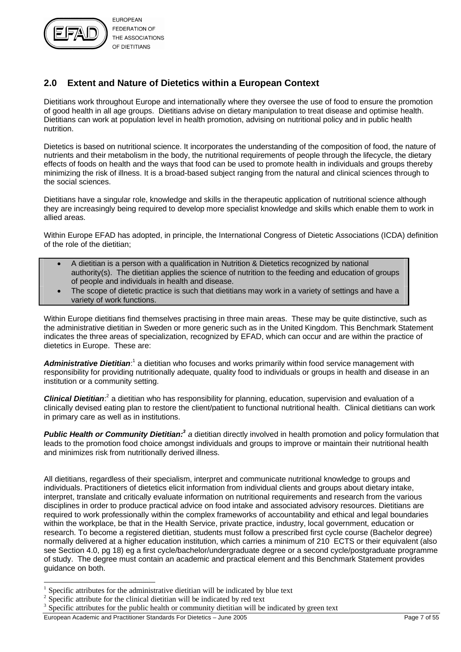

# **2.0 Extent and Nature of Dietetics within a European Context**

Dietitians work throughout Europe and internationally where they oversee the use of food to ensure the promotion of good health in all age groups. Dietitians advise on dietary manipulation to treat disease and optimise health. Dietitians can work at population level in health promotion, advising on nutritional policy and in public health nutrition.

Dietetics is based on nutritional science. It incorporates the understanding of the composition of food, the nature of nutrients and their metabolism in the body, the nutritional requirements of people through the lifecycle, the dietary effects of foods on health and the ways that food can be used to promote health in individuals and groups thereby minimizing the risk of illness. It is a broad-based subject ranging from the natural and clinical sciences through to the social sciences.

Dietitians have a singular role, knowledge and skills in the therapeutic application of nutritional science although they are increasingly being required to develop more specialist knowledge and skills which enable them to work in allied areas.

Within Europe EFAD has adopted, in principle, the International Congress of Dietetic Associations (ICDA) definition of the role of the dietitian;

- A dietitian is a person with a qualification in Nutrition & Dietetics recognized by national authority(s). The dietitian applies the science of nutrition to the feeding and education of groups of people and individuals in health and disease.
- The scope of dietetic practice is such that dietitians may work in a variety of settings and have a variety of work functions.

Within Europe dietitians find themselves practising in three main areas. These may be quite distinctive, such as the administrative dietitian in Sweden or more generic such as in the United Kingdom. This Benchmark Statement indicates the three areas of specialization, recognized by EFAD, which can occur and are within the practice of dietetics in Europe. These are:

Administrative Dietitian:<sup>1</sup> a dietitian who focuses and works primarily within food service management with responsibility for providing nutritionally adequate, quality food to individuals or groups in health and disease in an institution or a community setting.

Clinical Dietitian<sup>2</sup> a dietitian who has responsibility for planning, education, supervision and evaluation of a clinically devised eating plan to restore the client/patient to functional nutritional health. Clinical dietitians can work in primary care as well as in institutions.

Public Health or Community Dietitian.<sup>3</sup> a dietitian directly involved in health promotion and policy formulation that leads to the promotion food choice amongst individuals and groups to improve or maintain their nutritional health and minimizes risk from nutritionally derived illness.

All dietitians, regardless of their specialism, interpret and communicate nutritional knowledge to groups and individuals. Practitioners of dietetics elicit information from individual clients and groups about dietary intake, interpret, translate and critically evaluate information on nutritional requirements and research from the various disciplines in order to produce practical advice on food intake and associated advisory resources. Dietitians are required to work professionally within the complex frameworks of accountability and ethical and legal boundaries within the workplace, be that in the Health Service, private practice, industry, local government, education or research. To become a registered dietitian, students must follow a prescribed first cycle course (Bachelor degree) normally delivered at a higher education institution, which carries a minimum of 210 ECTS or their equivalent (also see Section 4.0, pg 18) eg a first cycle/bachelor/undergraduate degree or a second cycle/postgraduate programme of study. The degree must contain an academic and practical element and this Benchmark Statement provides guidance on both.

### European Academic and Practitioner Standards For Dietetics – June 2005 Page 7 of 55

<sup>1</sup> Specific attributes for the administrative dietitian will be indicated by blue text

 $2^{2}$  Specific attribute for the clinical dietitian will be indicated by red text

<sup>3</sup> Specific attributes for the public health or community dietitian will be indicated by green text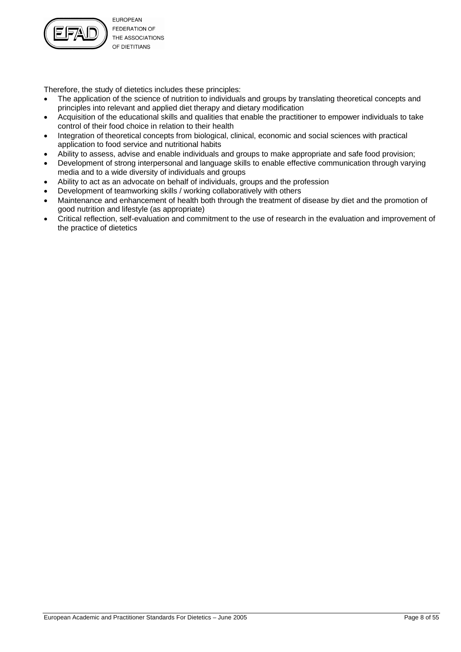

Therefore, the study of dietetics includes these principles:

- The application of the science of nutrition to individuals and groups by translating theoretical concepts and principles into relevant and applied diet therapy and dietary modification
- Acquisition of the educational skills and qualities that enable the practitioner to empower individuals to take control of their food choice in relation to their health
- Integration of theoretical concepts from biological, clinical, economic and social sciences with practical application to food service and nutritional habits
- Ability to assess, advise and enable individuals and groups to make appropriate and safe food provision;
- Development of strong interpersonal and language skills to enable effective communication through varying media and to a wide diversity of individuals and groups
- Ability to act as an advocate on behalf of individuals, groups and the profession
- Development of teamworking skills / working collaboratively with others
- Maintenance and enhancement of health both through the treatment of disease by diet and the promotion of good nutrition and lifestyle (as appropriate)
- Critical reflection, self-evaluation and commitment to the use of research in the evaluation and improvement of the practice of dietetics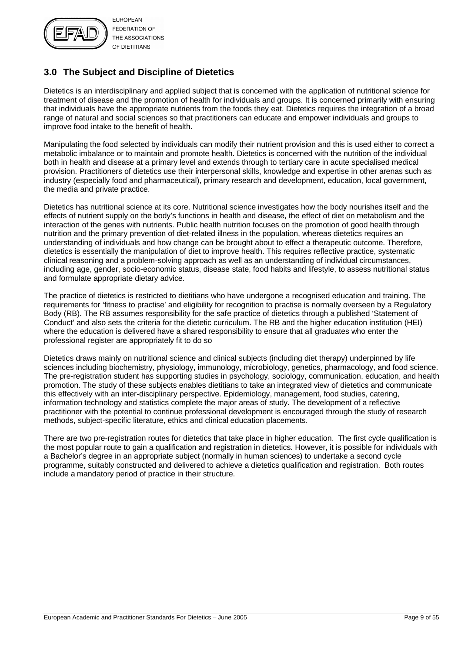

# **3.0 The Subject and Discipline of Dietetics**

Dietetics is an interdisciplinary and applied subject that is concerned with the application of nutritional science for treatment of disease and the promotion of health for individuals and groups. It is concerned primarily with ensuring that individuals have the appropriate nutrients from the foods they eat. Dietetics requires the integration of a broad range of natural and social sciences so that practitioners can educate and empower individuals and groups to improve food intake to the benefit of health.

Manipulating the food selected by individuals can modify their nutrient provision and this is used either to correct a metabolic imbalance or to maintain and promote health. Dietetics is concerned with the nutrition of the individual both in health and disease at a primary level and extends through to tertiary care in acute specialised medical provision. Practitioners of dietetics use their interpersonal skills, knowledge and expertise in other arenas such as industry (especially food and pharmaceutical), primary research and development, education, local government, the media and private practice.

Dietetics has nutritional science at its core. Nutritional science investigates how the body nourishes itself and the effects of nutrient supply on the body's functions in health and disease, the effect of diet on metabolism and the interaction of the genes with nutrients. Public health nutrition focuses on the promotion of good health through nutrition and the primary prevention of diet-related illness in the population, whereas dietetics requires an understanding of individuals and how change can be brought about to effect a therapeutic outcome. Therefore, dietetics is essentially the manipulation of diet to improve health. This requires reflective practice, systematic clinical reasoning and a problem-solving approach as well as an understanding of individual circumstances, including age, gender, socio-economic status, disease state, food habits and lifestyle, to assess nutritional status and formulate appropriate dietary advice.

The practice of dietetics is restricted to dietitians who have undergone a recognised education and training. The requirements for 'fitness to practise' and eligibility for recognition to practise is normally overseen by a Regulatory Body (RB). The RB assumes responsibility for the safe practice of dietetics through a published 'Statement of Conduct' and also sets the criteria for the dietetic curriculum. The RB and the higher education institution (HEI) where the education is delivered have a shared responsibility to ensure that all graduates who enter the professional register are appropriately fit to do so

Dietetics draws mainly on nutritional science and clinical subjects (including diet therapy) underpinned by life sciences including biochemistry, physiology, immunology, microbiology, genetics, pharmacology, and food science. The pre-registration student has supporting studies in psychology, sociology, communication, education, and health promotion. The study of these subjects enables dietitians to take an integrated view of dietetics and communicate this effectively with an inter-disciplinary perspective. Epidemiology, management, food studies, catering, information technology and statistics complete the major areas of study. The development of a reflective practitioner with the potential to continue professional development is encouraged through the study of research methods, subject-specific literature, ethics and clinical education placements.

There are two pre-registration routes for dietetics that take place in higher education. The first cycle qualification is the most popular route to gain a qualification and registration in dietetics. However, it is possible for individuals with a Bachelor's degree in an appropriate subject (normally in human sciences) to undertake a second cycle programme, suitably constructed and delivered to achieve a dietetics qualification and registration. Both routes include a mandatory period of practice in their structure.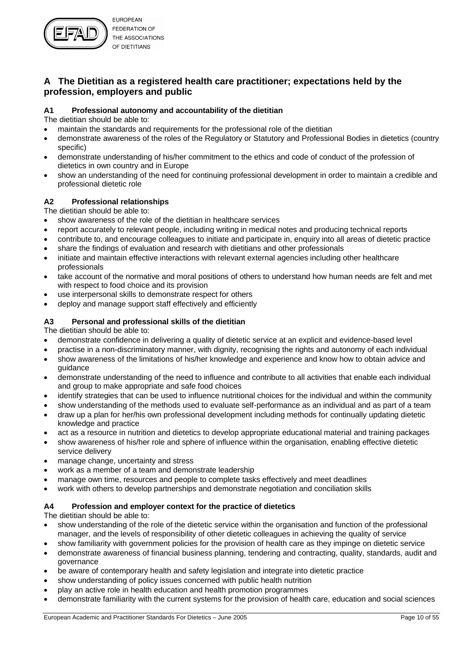

### **A The Dietitian as a registered health care practitioner; expectations held by the profession, employers and public**

### **A1 Professional autonomy and accountability of the dietitian**

The dietitian should be able to:

- maintain the standards and requirements for the professional role of the dietitian
- demonstrate awareness of the roles of the Regulatory or Statutory and Professional Bodies in dietetics (country specific)
- demonstrate understanding of his/her commitment to the ethics and code of conduct of the profession of dietetics in own country and in Europe
- show an understanding of the need for continuing professional development in order to maintain a credible and professional dietetic role

### **A2 Professional relationships**

The dietitian should be able to:

- show awareness of the role of the dietitian in healthcare services
- report accurately to relevant people, including writing in medical notes and producing technical reports
- contribute to, and encourage colleagues to initiate and participate in, enquiry into all areas of dietetic practice
- share the findings of evaluation and research with dietitians and other professionals
- initiate and maintain effective interactions with relevant external agencies including other healthcare professionals
- take account of the normative and moral positions of others to understand how human needs are felt and met with respect to food choice and its provision
- use interpersonal skills to demonstrate respect for others
- deploy and manage support staff effectively and efficiently

### **A3 Personal and professional skills of the dietitian**

The dietitian should be able to:

- demonstrate confidence in delivering a quality of dietetic service at an explicit and evidence-based level
- practise in a non-discriminatory manner, with dignity, recognising the rights and autonomy of each individual show awareness of the limitations of his/her knowledge and experience and know how to obtain advice and
- guidance
- demonstrate understanding of the need to influence and contribute to all activities that enable each individual and group to make appropriate and safe food choices
- identify strategies that can be used to influence nutritional choices for the individual and within the community
- show understanding of the methods used to evaluate self-performance as an individual and as part of a team
- draw up a plan for her/his own professional development including methods for continually updating dietetic knowledge and practice
- act as a resource in nutrition and dietetics to develop appropriate educational material and training packages
- show awareness of his/her role and sphere of influence within the organisation, enabling effective dietetic service delivery
- manage change, uncertainty and stress
- work as a member of a team and demonstrate leadership
- manage own time, resources and people to complete tasks effectively and meet deadlines
- work with others to develop partnerships and demonstrate negotiation and conciliation skills

### **A4 Profession and employer context for the practice of dietetics**

The dietitian should be able to:

- show understanding of the role of the dietetic service within the organisation and function of the professional manager, and the levels of responsibility of other dietetic colleagues in achieving the quality of service
- show familiarity with government policies for the provision of health care as they impinge on dietetic service
- demonstrate awareness of financial business planning, tendering and contracting, quality, standards, audit and governance
- be aware of contemporary health and safety legislation and integrate into dietetic practice
- show understanding of policy issues concerned with public health nutrition
- play an active role in health education and health promotion programmes
- demonstrate familiarity with the current systems for the provision of health care, education and social sciences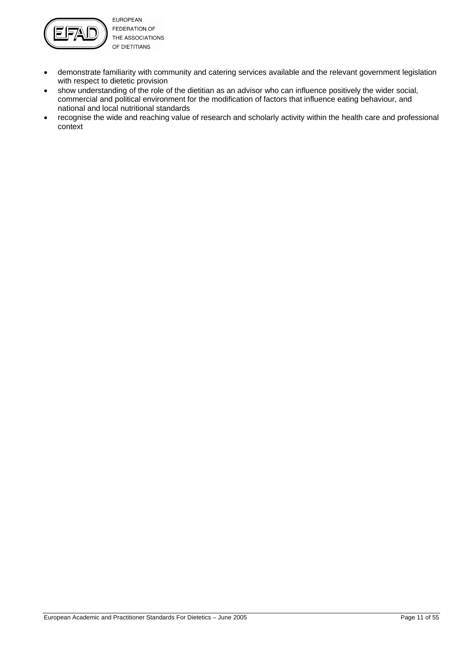

- demonstrate familiarity with community and catering services available and the relevant government legislation with respect to dietetic provision
- show understanding of the role of the dietitian as an advisor who can influence positively the wider social, commercial and political environment for the modification of factors that influence eating behaviour, and national and local nutritional standards
- recognise the wide and reaching value of research and scholarly activity within the health care and professional context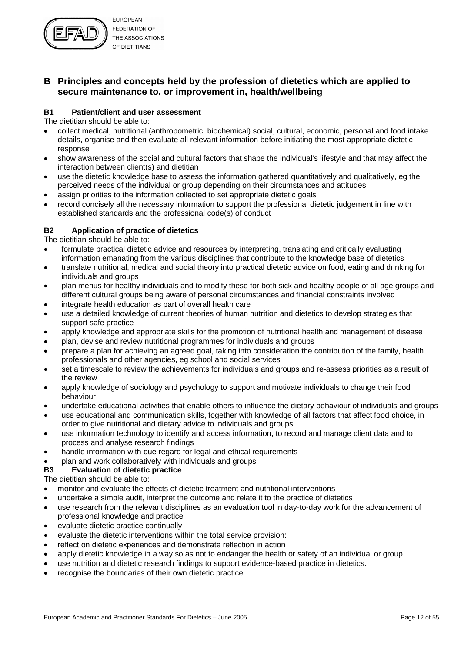

### **B Principles and concepts held by the profession of dietetics which are applied to secure maintenance to, or improvement in, health/wellbeing**

### **B1 Patient/client and user assessment**

The dietitian should be able to:

- collect medical, nutritional (anthropometric, biochemical) social, cultural, economic, personal and food intake details, organise and then evaluate all relevant information before initiating the most appropriate dietetic response
- show awareness of the social and cultural factors that shape the individual's lifestyle and that may affect the interaction between client(s) and dietitian
- use the dietetic knowledge base to assess the information gathered quantitatively and qualitatively, eg the perceived needs of the individual or group depending on their circumstances and attitudes
- assign priorities to the information collected to set appropriate dietetic goals
- record concisely all the necessary information to support the professional dietetic judgement in line with established standards and the professional code(s) of conduct

### **B2 Application of practice of dietetics**

The dietitian should be able to:

- formulate practical dietetic advice and resources by interpreting, translating and critically evaluating information emanating from the various disciplines that contribute to the knowledge base of dietetics
- translate nutritional, medical and social theory into practical dietetic advice on food, eating and drinking for individuals and groups
- plan menus for healthy individuals and to modify these for both sick and healthy people of all age groups and different cultural groups being aware of personal circumstances and financial constraints involved
- integrate health education as part of overall health care
- use a detailed knowledge of current theories of human nutrition and dietetics to develop strategies that support safe practice
- apply knowledge and appropriate skills for the promotion of nutritional health and management of disease
- plan, devise and review nutritional programmes for individuals and groups
- prepare a plan for achieving an agreed goal, taking into consideration the contribution of the family, health professionals and other agencies, eg school and social services
- set a timescale to review the achievements for individuals and groups and re-assess priorities as a result of the review
- apply knowledge of sociology and psychology to support and motivate individuals to change their food behaviour
- undertake educational activities that enable others to influence the dietary behaviour of individuals and groups
- use educational and communication skills, together with knowledge of all factors that affect food choice, in order to give nutritional and dietary advice to individuals and groups
- use information technology to identify and access information, to record and manage client data and to process and analyse research findings
- handle information with due regard for legal and ethical requirements
- plan and work collaboratively with individuals and groups<br> **B3** Evaluation of dietetic practice

### **B3 Evaluation of dietetic practice**

The dietitian should be able to:

- monitor and evaluate the effects of dietetic treatment and nutritional interventions
- undertake a simple audit, interpret the outcome and relate it to the practice of dietetics
- use research from the relevant disciplines as an evaluation tool in day-to-day work for the advancement of professional knowledge and practice
- evaluate dietetic practice continually
- evaluate the dietetic interventions within the total service provision:
- reflect on dietetic experiences and demonstrate reflection in action
- apply dietetic knowledge in a way so as not to endanger the health or safety of an individual or group
- use nutrition and dietetic research findings to support evidence-based practice in dietetics.
- recognise the boundaries of their own dietetic practice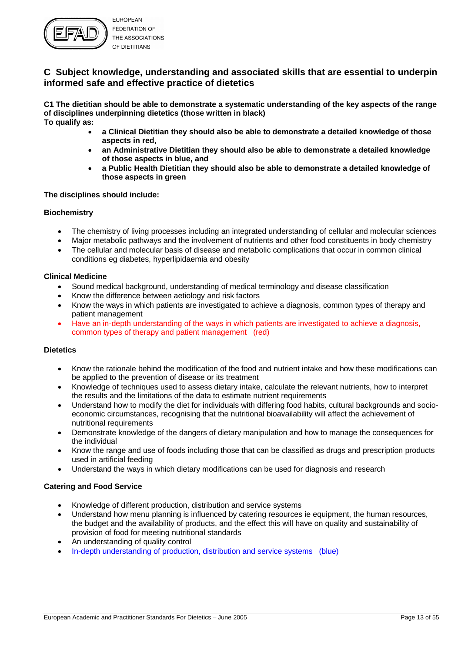

### **C Subject knowledge, understanding and associated skills that are essential to underpin informed safe and effective practice of dietetics**

**C1 The dietitian should be able to demonstrate a systematic understanding of the key aspects of the range of disciplines underpinning dietetics (those written in black) To qualify as:**

- **a Clinical Dietitian they should also be able to demonstrate a detailed knowledge of those aspects in red,**
- **an Administrative Dietitian they should also be able to demonstrate a detailed knowledge of those aspects in blue, and**
- **a Public Health Dietitian they should also be able to demonstrate a detailed knowledge of those aspects in green**

### **The disciplines should include:**

### **Biochemistry**

- The chemistry of living processes including an integrated understanding of cellular and molecular sciences
- Major metabolic pathways and the involvement of nutrients and other food constituents in body chemistry
- The cellular and molecular basis of disease and metabolic complications that occur in common clinical conditions eg diabetes, hyperlipidaemia and obesity

### **Clinical Medicine**

- Sound medical background, understanding of medical terminology and disease classification
- Know the difference between aetiology and risk factors
- Know the ways in which patients are investigated to achieve a diagnosis, common types of therapy and patient management
- Have an in-depth understanding of the ways in which patients are investigated to achieve a diagnosis, common types of therapy and patient management (red)

### **Dietetics**

- Know the rationale behind the modification of the food and nutrient intake and how these modifications can be applied to the prevention of disease or its treatment
- Knowledge of techniques used to assess dietary intake, calculate the relevant nutrients, how to interpret the results and the limitations of the data to estimate nutrient requirements
- Understand how to modify the diet for individuals with differing food habits, cultural backgrounds and socioeconomic circumstances, recognising that the nutritional bioavailability will affect the achievement of nutritional requirements
- Demonstrate knowledge of the dangers of dietary manipulation and how to manage the consequences for the individual
- Know the range and use of foods including those that can be classified as drugs and prescription products used in artificial feeding
- Understand the ways in which dietary modifications can be used for diagnosis and research

### **Catering and Food Service**

- Knowledge of different production, distribution and service systems
- Understand how menu planning is influenced by catering resources ie equipment, the human resources, the budget and the availability of products, and the effect this will have on quality and sustainability of provision of food for meeting nutritional standards
- An understanding of quality control
- In-depth understanding of production, distribution and service systems (blue)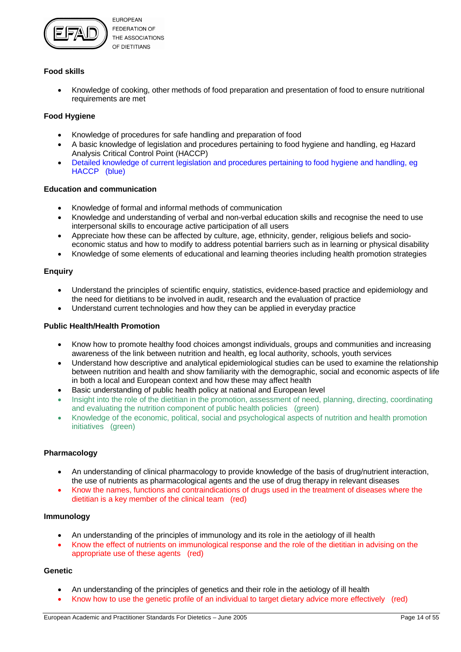

### **Food skills**

 Knowledge of cooking, other methods of food preparation and presentation of food to ensure nutritional requirements are met

### **Food Hygiene**

- Knowledge of procedures for safe handling and preparation of food
- A basic knowledge of legislation and procedures pertaining to food hygiene and handling, eg Hazard Analysis Critical Control Point (HACCP)
- Detailed knowledge of current legislation and procedures pertaining to food hygiene and handling, eg HACCP (blue)

### **Education and communication**

- Knowledge of formal and informal methods of communication
- Knowledge and understanding of verbal and non-verbal education skills and recognise the need to use interpersonal skills to encourage active participation of all users
- Appreciate how these can be affected by culture, age, ethnicity, gender, religious beliefs and socioeconomic status and how to modify to address potential barriers such as in learning or physical disability
- Knowledge of some elements of educational and learning theories including health promotion strategies

### **Enquiry**

- Understand the principles of scientific enquiry, statistics, evidence-based practice and epidemiology and the need for dietitians to be involved in audit, research and the evaluation of practice
- Understand current technologies and how they can be applied in everyday practice

### **Public Health/Health Promotion**

- Know how to promote healthy food choices amongst individuals, groups and communities and increasing awareness of the link between nutrition and health, eg local authority, schools, youth services
- Understand how descriptive and analytical epidemiological studies can be used to examine the relationship between nutrition and health and show familiarity with the demographic, social and economic aspects of life in both a local and European context and how these may affect health
- Basic understanding of public health policy at national and European level
- Insight into the role of the dietitian in the promotion, assessment of need, planning, directing, coordinating and evaluating the nutrition component of public health policies (green)
- Knowledge of the economic, political, social and psychological aspects of nutrition and health promotion initiatives (green)

### **Pharmacology**

- An understanding of clinical pharmacology to provide knowledge of the basis of drug/nutrient interaction, the use of nutrients as pharmacological agents and the use of drug therapy in relevant diseases
- Know the names, functions and contraindications of drugs used in the treatment of diseases where the dietitian is a key member of the clinical team (red)

### **Immunology**

- An understanding of the principles of immunology and its role in the aetiology of ill health
- Know the effect of nutrients on immunological response and the role of the dietitian in advising on the appropriate use of these agents (red)

### **Genetic**

- An understanding of the principles of genetics and their role in the aetiology of ill health
- Know how to use the genetic profile of an individual to target dietary advice more effectively (red)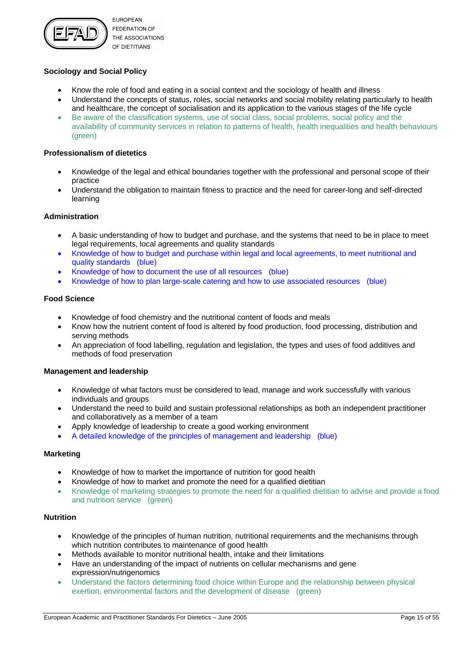

### **Sociology and Social Policy**

- Know the role of food and eating in a social context and the sociology of health and illness
- Understand the concepts of status, roles, social networks and social mobility relating particularly to health and healthcare, the concept of socialisation and its application to the various stages of the life cycle
- Be aware of the classification systems, use of social class, social problems, social policy and the availability of community services in relation to patterns of health, health inequalities and health behaviours (green)

### **Professionalism of dietetics**

- Knowledge of the legal and ethical boundaries together with the professional and personal scope of their practice
- Understand the obligation to maintain fitness to practice and the need for career-long and self-directed learning

### **Administration**

- A basic understanding of how to budget and purchase, and the systems that need to be in place to meet legal requirements, local agreements and quality standards
- Knowledge of how to budget and purchase within legal and local agreements, to meet nutritional and quality standards (blue)
- Knowledge of how to document the use of all resources (blue)
- Knowledge of how to plan large-scale catering and how to use associated resources (blue)

### **Food Science**

- Knowledge of food chemistry and the nutritional content of foods and meals
- Know how the nutrient content of food is altered by food production, food processing, distribution and serving methods
- An appreciation of food labelling, regulation and legislation, the types and uses of food additives and methods of food preservation

### **Management and leadership**

- Knowledge of what factors must be considered to lead, manage and work successfully with various individuals and groups
- Understand the need to build and sustain professional relationships as both an independent practitioner and collaboratively as a member of a team
- Apply knowledge of leadership to create a good working environment
- A detailed knowledge of the principles of management and leadership (blue)

### **Marketing**

- Knowledge of how to market the importance of nutrition for good health
- Knowledge of how to market and promote the need for a qualified dietitian
- Knowledge of marketing strategies to promote the need for a qualified dietitian to advise and provide a food and nutrition service (green)

### **Nutrition**

- Knowledge of the principles of human nutrition, nutritional requirements and the mechanisms through which nutrition contributes to maintenance of good health
- Methods available to monitor nutritional health, intake and their limitations
- Have an understanding of the impact of nutrients on cellular mechanisms and gene expression/nutrigenomics
- Understand the factors determining food choice within Europe and the relationship between physical exertion, environmental factors and the development of disease (green)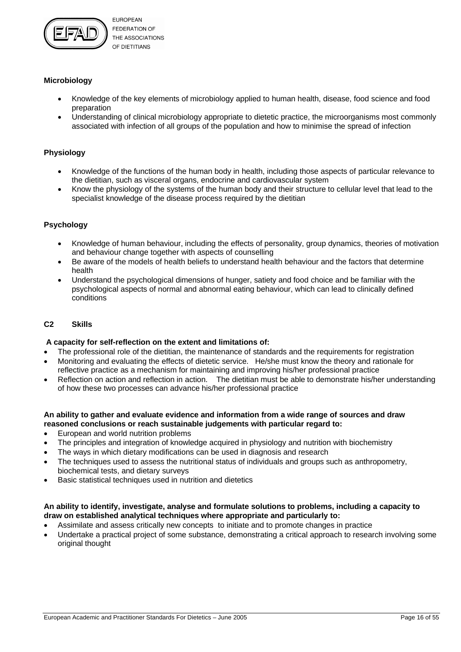

### **Microbiology**

- Knowledge of the key elements of microbiology applied to human health, disease, food science and food preparation
- Understanding of clinical microbiology appropriate to dietetic practice, the microorganisms most commonly associated with infection of all groups of the population and how to minimise the spread of infection

### **Physiology**

- Knowledge of the functions of the human body in health, including those aspects of particular relevance to the dietitian, such as visceral organs, endocrine and cardiovascular system
- Know the physiology of the systems of the human body and their structure to cellular level that lead to the specialist knowledge of the disease process required by the dietitian

### **Psychology**

- Knowledge of human behaviour, including the effects of personality, group dynamics, theories of motivation and behaviour change together with aspects of counselling
- Be aware of the models of health beliefs to understand health behaviour and the factors that determine health
- Understand the psychological dimensions of hunger, satiety and food choice and be familiar with the psychological aspects of normal and abnormal eating behaviour, which can lead to clinically defined conditions

### **C2 Skills**

### **A capacity for self-reflection on the extent and limitations of:**

- The professional role of the dietitian, the maintenance of standards and the requirements for registration
- Monitoring and evaluating the effects of dietetic service. He/she must know the theory and rationale for reflective practice as a mechanism for maintaining and improving his/her professional practice
- Reflection on action and reflection in action. The dietitian must be able to demonstrate his/her understanding of how these two processes can advance his/her professional practice

### **An ability to gather and evaluate evidence and information from a wide range of sources and draw reasoned conclusions or reach sustainable judgements with particular regard to:**

- European and world nutrition problems
- The principles and integration of knowledge acquired in physiology and nutrition with biochemistry
- The ways in which dietary modifications can be used in diagnosis and research
- The techniques used to assess the nutritional status of individuals and groups such as anthropometry, biochemical tests, and dietary surveys
- Basic statistical techniques used in nutrition and dietetics

### **An ability to identify, investigate, analyse and formulate solutions to problems, including a capacity to draw on established analytical techniques where appropriate and particularly to:**

- Assimilate and assess critically new concepts to initiate and to promote changes in practice
- Undertake a practical project of some substance, demonstrating a critical approach to research involving some original thought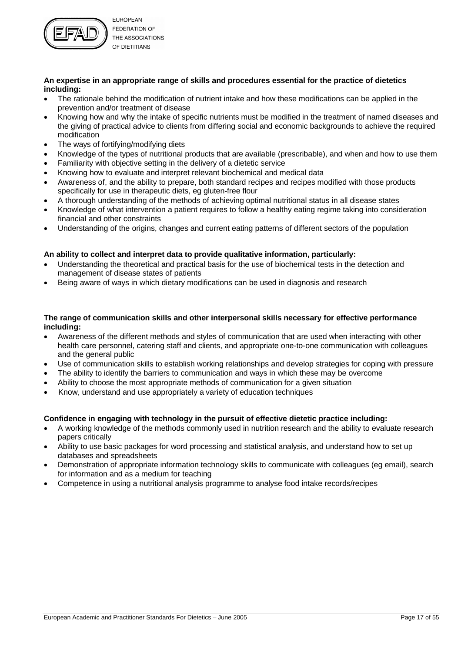

### **An expertise in an appropriate range of skills and procedures essential for the practice of dietetics including:**

- The rationale behind the modification of nutrient intake and how these modifications can be applied in the prevention and/or treatment of disease
- Knowing how and why the intake of specific nutrients must be modified in the treatment of named diseases and the giving of practical advice to clients from differing social and economic backgrounds to achieve the required modification
- The ways of fortifying/modifying diets
- Knowledge of the types of nutritional products that are available (prescribable), and when and how to use them
- Familiarity with objective setting in the delivery of a dietetic service
- Knowing how to evaluate and interpret relevant biochemical and medical data
- Awareness of, and the ability to prepare, both standard recipes and recipes modified with those products specifically for use in therapeutic diets, eg gluten-free flour
- A thorough understanding of the methods of achieving optimal nutritional status in all disease states
- Knowledge of what intervention a patient requires to follow a healthy eating regime taking into consideration financial and other constraints
- Understanding of the origins, changes and current eating patterns of different sectors of the population

### **An ability to collect and interpret data to provide qualitative information, particularly:**

- Understanding the theoretical and practical basis for the use of biochemical tests in the detection and management of disease states of patients
- Being aware of ways in which dietary modifications can be used in diagnosis and research

### **The range of communication skills and other interpersonal skills necessary for effective performance including:**

- Awareness of the different methods and styles of communication that are used when interacting with other health care personnel, catering staff and clients, and appropriate one-to-one communication with colleagues and the general public
- Use of communication skills to establish working relationships and develop strategies for coping with pressure
- The ability to identify the barriers to communication and ways in which these may be overcome
- Ability to choose the most appropriate methods of communication for a given situation
- Know, understand and use appropriately a variety of education techniques

### **Confidence in engaging with technology in the pursuit of effective dietetic practice including:**

- A working knowledge of the methods commonly used in nutrition research and the ability to evaluate research papers critically
- Ability to use basic packages for word processing and statistical analysis, and understand how to set up databases and spreadsheets
- Demonstration of appropriate information technology skills to communicate with colleagues (eg email), search for information and as a medium for teaching
- Competence in using a nutritional analysis programme to analyse food intake records/recipes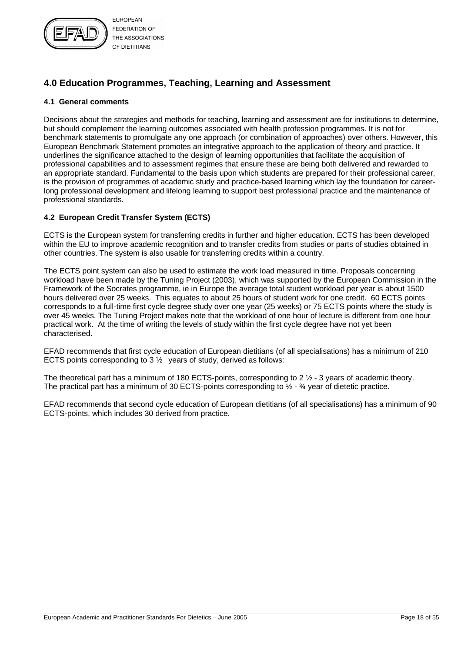

# **4.0 Education Programmes, Teaching, Learning and Assessment**

### **4.1 General comments**

Decisions about the strategies and methods for teaching, learning and assessment are for institutions to determine, but should complement the learning outcomes associated with health profession programmes. It is not for benchmark statements to promulgate any one approach (or combination of approaches) over others. However, this European Benchmark Statement promotes an integrative approach to the application of theory and practice. It underlines the significance attached to the design of learning opportunities that facilitate the acquisition of professional capabilities and to assessment regimes that ensure these are being both delivered and rewarded to an appropriate standard. Fundamental to the basis upon which students are prepared for their professional career, is the provision of programmes of academic study and practice-based learning which lay the foundation for careerlong professional development and lifelong learning to support best professional practice and the maintenance of professional standards.

### **4.2 European Credit Transfer System (ECTS)**

ECTS is the European system for transferring credits in further and higher education. ECTS has been developed within the EU to improve academic recognition and to transfer credits from studies or parts of studies obtained in other countries. The system is also usable for transferring credits within a country.

The ECTS point system can also be used to estimate the work load measured in time. Proposals concerning workload have been made by the Tuning Project (2003), which was supported by the European Commission in the Framework of the Socrates programme, ie in Europe the average total student workload per year is about 1500 hours delivered over 25 weeks. This equates to about 25 hours of student work for one credit. 60 ECTS points corresponds to a full-time first cycle degree study over one year (25 weeks) or 75 ECTS points where the study is over 45 weeks. The Tuning Project makes note that the workload of one hour of lecture is different from one hour practical work. At the time of writing the levels of study within the first cycle degree have not yet been characterised.

EFAD recommends that first cycle education of European dietitians (of all specialisations) has a minimum of 210 ECTS points corresponding to 3 ½ years of study, derived as follows:

The theoretical part has a minimum of 180 ECTS-points, corresponding to 2  $\frac{1}{2}$  - 3 years of academic theory. The practical part has a minimum of 30 ECTS-points corresponding to  $\frac{1}{2}$  -  $\frac{3}{4}$  year of dietetic practice.

EFAD recommends that second cycle education of European dietitians (of all specialisations) has a minimum of 90 ECTS-points, which includes 30 derived from practice.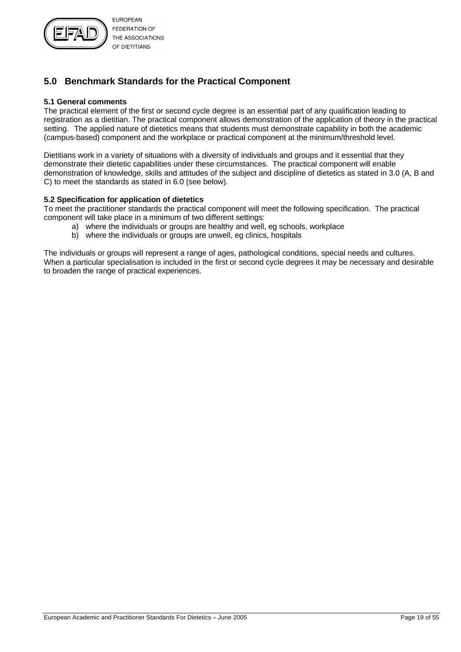

# **5.0 Benchmark Standards for the Practical Component**

### **5.1 General comments**

The practical element of the first or second cycle degree is an essential part of any qualification leading to registration as a dietitian. The practical component allows demonstration of the application of theory in the practical setting. The applied nature of dietetics means that students must demonstrate capability in both the academic (campus-based) component and the workplace or practical component at the minimum/threshold level.

Dietitians work in a variety of situations with a diversity of individuals and groups and it essential that they demonstrate their dietetic capabilities under these circumstances. The practical component will enable demonstration of knowledge, skills and attitudes of the subject and discipline of dietetics as stated in 3.0 (A, B and C) to meet the standards as stated in 6.0 (see below).

### **5.2 Specification for application of dietetics**

To meet the practitioner standards the practical component will meet the following specification. The practical component will take place in a minimum of two different settings:

- a) where the individuals or groups are healthy and well, eg schools, workplace
- b) where the individuals or groups are unwell, eg clinics, hospitals

The individuals or groups will represent a range of ages, pathological conditions, special needs and cultures. When a particular specialisation is included in the first or second cycle degrees it may be necessary and desirable to broaden the range of practical experiences.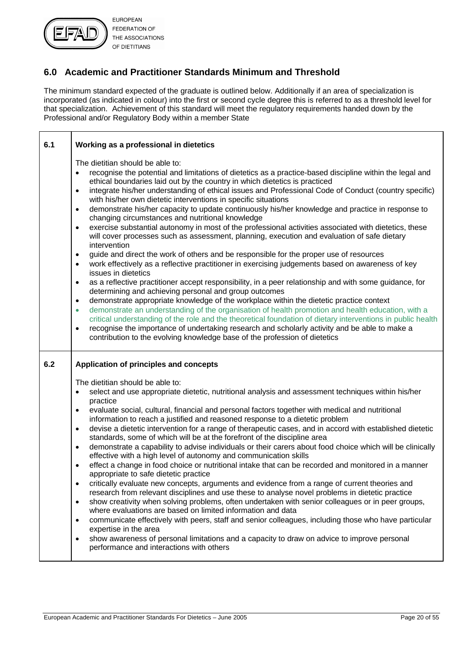

# **6.0 Academic and Practitioner Standards Minimum and Threshold**

The minimum standard expected of the graduate is outlined below. Additionally if an area of specialization is incorporated (as indicated in colour) into the first or second cycle degree this is referred to as a threshold level for that specialization. Achievement of this standard will meet the regulatory requirements handed down by the Professional and/or Regulatory Body within a member State

| 6.1 | Working as a professional in dietetics                                                                                                                                                                                                                                                                                                                                                                                                                                                                                                                                                                                                                                                                                                                                                                                                                                                                                                                                                                                                                                                                                                                                                                                                                                                                                                                                                                                                                                                                                                                                                                                                                                                                                                                                                            |
|-----|---------------------------------------------------------------------------------------------------------------------------------------------------------------------------------------------------------------------------------------------------------------------------------------------------------------------------------------------------------------------------------------------------------------------------------------------------------------------------------------------------------------------------------------------------------------------------------------------------------------------------------------------------------------------------------------------------------------------------------------------------------------------------------------------------------------------------------------------------------------------------------------------------------------------------------------------------------------------------------------------------------------------------------------------------------------------------------------------------------------------------------------------------------------------------------------------------------------------------------------------------------------------------------------------------------------------------------------------------------------------------------------------------------------------------------------------------------------------------------------------------------------------------------------------------------------------------------------------------------------------------------------------------------------------------------------------------------------------------------------------------------------------------------------------------|
|     | The dietitian should be able to:<br>recognise the potential and limitations of dietetics as a practice-based discipline within the legal and<br>ethical boundaries laid out by the country in which dietetics is practiced<br>integrate his/her understanding of ethical issues and Professional Code of Conduct (country specific)<br>$\bullet$<br>with his/her own dietetic interventions in specific situations<br>demonstrate his/her capacity to update continuously his/her knowledge and practice in response to<br>$\bullet$<br>changing circumstances and nutritional knowledge<br>exercise substantial autonomy in most of the professional activities associated with dietetics, these<br>$\bullet$<br>will cover processes such as assessment, planning, execution and evaluation of safe dietary<br>intervention<br>guide and direct the work of others and be responsible for the proper use of resources<br>$\bullet$<br>work effectively as a reflective practitioner in exercising judgements based on awareness of key<br>$\bullet$<br>issues in dietetics<br>as a reflective practitioner accept responsibility, in a peer relationship and with some guidance, for<br>$\bullet$<br>determining and achieving personal and group outcomes<br>demonstrate appropriate knowledge of the workplace within the dietetic practice context<br>$\bullet$<br>demonstrate an understanding of the organisation of health promotion and health education, with a<br>$\bullet$<br>critical understanding of the role and the theoretical foundation of dietary interventions in public health<br>recognise the importance of undertaking research and scholarly activity and be able to make a<br>$\bullet$<br>contribution to the evolving knowledge base of the profession of dietetics |
| 6.2 | Application of principles and concepts<br>The dietitian should be able to:<br>select and use appropriate dietetic, nutritional analysis and assessment techniques within his/her<br>٠<br>practice<br>evaluate social, cultural, financial and personal factors together with medical and nutritional<br>$\bullet$<br>information to reach a justified and reasoned response to a dietetic problem<br>devise a dietetic intervention for a range of therapeutic cases, and in accord with established dietetic<br>$\bullet$<br>standards, some of which will be at the forefront of the discipline area<br>demonstrate a capability to advise individuals or their carers about food choice which will be clinically<br>$\bullet$<br>effective with a high level of autonomy and communication skills<br>effect a change in food choice or nutritional intake that can be recorded and monitored in a manner<br>$\bullet$<br>appropriate to safe dietetic practice<br>critically evaluate new concepts, arguments and evidence from a range of current theories and<br>research from relevant disciplines and use these to analyse novel problems in dietetic practice<br>show creativity when solving problems, often undertaken with senior colleagues or in peer groups,<br>$\bullet$<br>where evaluations are based on limited information and data<br>communicate effectively with peers, staff and senior colleagues, including those who have particular<br>٠<br>expertise in the area<br>show awareness of personal limitations and a capacity to draw on advice to improve personal<br>performance and interactions with others                                                                                                                                                           |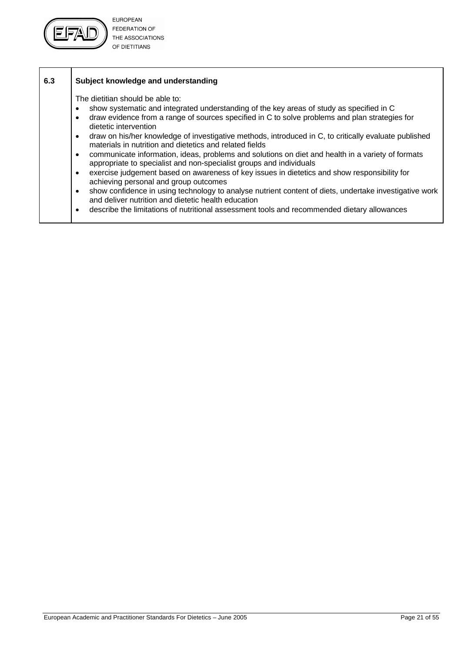

### **6.3 Subject knowledge and understanding** The dietitian should be able to: show systematic and integrated understanding of the key areas of study as specified in C draw evidence from a range of sources specified in C to solve problems and plan strategies for dietetic intervention draw on his/her knowledge of investigative methods, introduced in C, to critically evaluate published

- materials in nutrition and dietetics and related fields
- communicate information, ideas, problems and solutions on diet and health in a variety of formats appropriate to specialist and non-specialist groups and individuals
- exercise judgement based on awareness of key issues in dietetics and show responsibility for achieving personal and group outcomes
- show confidence in using technology to analyse nutrient content of diets, undertake investigative work and deliver nutrition and dietetic health education
- describe the limitations of nutritional assessment tools and recommended dietary allowances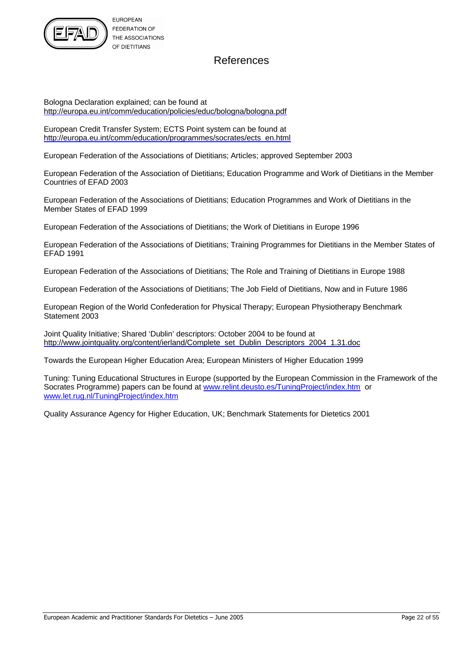

# References

Bologna Declaration explained; can be found at <http://europa.eu.int/comm/education/policies/educ/bologna/bologna.pdf>

European Credit Transfer System; ECTS Point system can be found at [http://europa.eu.int/comm/education/programmes/socrates/ects\\_en.html](http://europa.eu.int/comm/education/programmes/socrates/ects_en.html)

European Federation of the Associations of Dietitians; Articles; approved September 2003

European Federation of the Association of Dietitians; Education Programme and Work of Dietitians in the Member Countries of EFAD 2003

European Federation of the Associations of Dietitians; Education Programmes and Work of Dietitians in the Member States of EFAD 1999

European Federation of the Associations of Dietitians; the Work of Dietitians in Europe 1996

European Federation of the Associations of Dietitians; Training Programmes for Dietitians in the Member States of EFAD 1991

European Federation of the Associations of Dietitians; The Role and Training of Dietitians in Europe 1988

European Federation of the Associations of Dietitians; The Job Field of Dietitians, Now and in Future 1986

European Region of the World Confederation for Physical Therapy; European Physiotherapy Benchmark Statement 2003

Joint Quality Initiative; Shared 'Dublin' descriptors: October 2004 to be found at [http://www.jointquality.org/content/ierland/Complete\\_set\\_Dublin\\_Descriptors\\_2004\\_1.31.doc](http://www.jointquality.org/content/ierland/Complete_set_Dublin_Descriptors_2004_1.31.doc)

Towards the European Higher Education Area; European Ministers of Higher Education 1999

Tuning: Tuning Educational Structures in Europe (supported by the European Commission in the Framework of the Socrates Programme) papers can be found at www.relint.deusto.es/TuningProject/index.htm or www.let.rug.nl/TuningProject/index.htm

Quality Assurance Agency for Higher Education, UK; Benchmark Statements for Dietetics 2001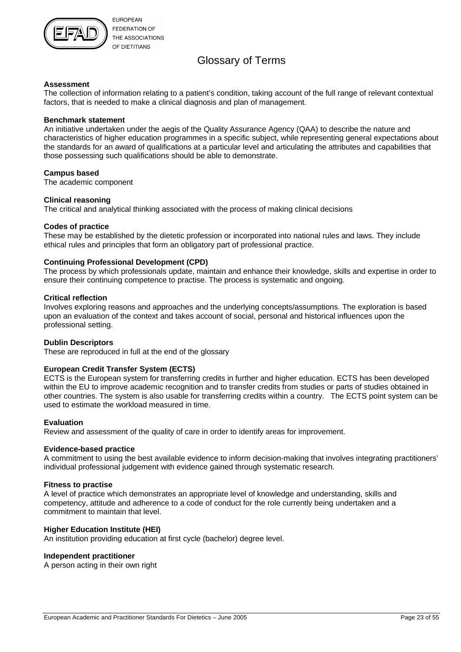

# Glossary of Terms

### **Assessment**

The collection of information relating to a patient's condition, taking account of the full range of relevant contextual factors, that is needed to make a clinical diagnosis and plan of management.

### **Benchmark statement**

An initiative undertaken under the aegis of the Quality Assurance Agency (QAA) to describe the nature and characteristics of higher education programmes in a specific subject, while representing general expectations about the standards for an award of qualifications at a particular level and articulating the attributes and capabilities that those possessing such qualifications should be able to demonstrate.

### **Campus based**

The academic component

### **Clinical reasoning**

The critical and analytical thinking associated with the process of making clinical decisions

### **Codes of practice**

These may be established by the dietetic profession or incorporated into national rules and laws. They include ethical rules and principles that form an obligatory part of professional practice.

### **Continuing Professional Development (CPD)**

The process by which professionals update, maintain and enhance their knowledge, skills and expertise in order to ensure their continuing competence to practise. The process is systematic and ongoing.

### **Critical reflection**

Involves exploring reasons and approaches and the underlying concepts/assumptions. The exploration is based upon an evaluation of the context and takes account of social, personal and historical influences upon the professional setting.

### **Dublin Descriptors**

These are reproduced in full at the end of the glossary

### **European Credit Transfer System (ECTS)**

ECTS is the European system for transferring credits in further and higher education. ECTS has been developed within the EU to improve academic recognition and to transfer credits from studies or parts of studies obtained in other countries. The system is also usable for transferring credits within a country. The ECTS point system can be used to estimate the workload measured in time.

### **Evaluation**

Review and assessment of the quality of care in order to identify areas for improvement.

#### **Evidence-based practice**

A commitment to using the best available evidence to inform decision-making that involves integrating practitioners' individual professional judgement with evidence gained through systematic research.

#### **Fitness to practise**

A level of practice which demonstrates an appropriate level of knowledge and understanding, skills and competency, attitude and adherence to a code of conduct for the role currently being undertaken and a commitment to maintain that level.

### **Higher Education Institute (HEI)**

An institution providing education at first cycle (bachelor) degree level.

#### **Independent practitioner**

A person acting in their own right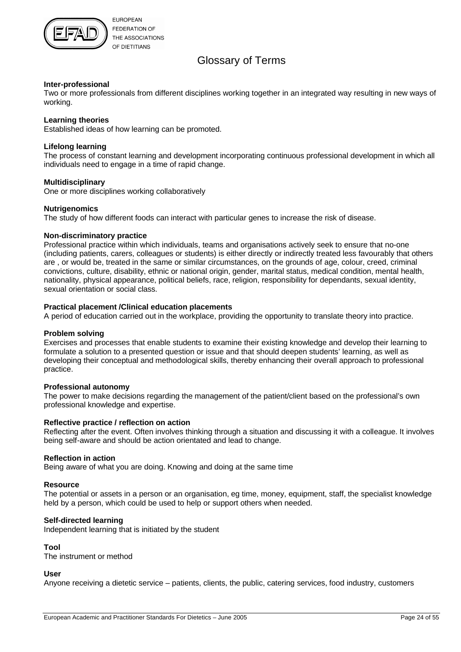

# Glossary of Terms

### **Inter-professional**

Two or more professionals from different disciplines working together in an integrated way resulting in new ways of working.

### **Learning theories**

Established ideas of how learning can be promoted.

### **Lifelong learning**

The process of constant learning and development incorporating continuous professional development in which all individuals need to engage in a time of rapid change.

### **Multidisciplinary**

One or more disciplines working collaboratively

### **Nutrigenomics**

The study of how different foods can interact with particular genes to increase the risk of disease.

### **Non-discriminatory practice**

Professional practice within which individuals, teams and organisations actively seek to ensure that no-one (including patients, carers, colleagues or students) is either directly or indirectly treated less favourably that others are , or would be, treated in the same or similar circumstances, on the grounds of age, colour, creed, criminal convictions, culture, disability, ethnic or national origin, gender, marital status, medical condition, mental health, nationality, physical appearance, political beliefs, race, religion, responsibility for dependants, sexual identity, sexual orientation or social class.

### **Practical placement /Clinical education placements**

A period of education carried out in the workplace, providing the opportunity to translate theory into practice.

### **Problem solving**

Exercises and processes that enable students to examine their existing knowledge and develop their learning to formulate a solution to a presented question or issue and that should deepen students' learning, as well as developing their conceptual and methodological skills, thereby enhancing their overall approach to professional practice.

### **Professional autonomy**

The power to make decisions regarding the management of the patient/client based on the professional's own professional knowledge and expertise.

### **Reflective practice / reflection on action**

Reflecting after the event. Often involves thinking through a situation and discussing it with a colleague. It involves being self-aware and should be action orientated and lead to change.

### **Reflection in action**

Being aware of what you are doing. Knowing and doing at the same time

### **Resource**

The potential or assets in a person or an organisation, eg time, money, equipment, staff, the specialist knowledge held by a person, which could be used to help or support others when needed.

### **Self-directed learning**

Independent learning that is initiated by the student

### **Tool**

The instrument or method

### **User**

Anyone receiving a dietetic service – patients, clients, the public, catering services, food industry, customers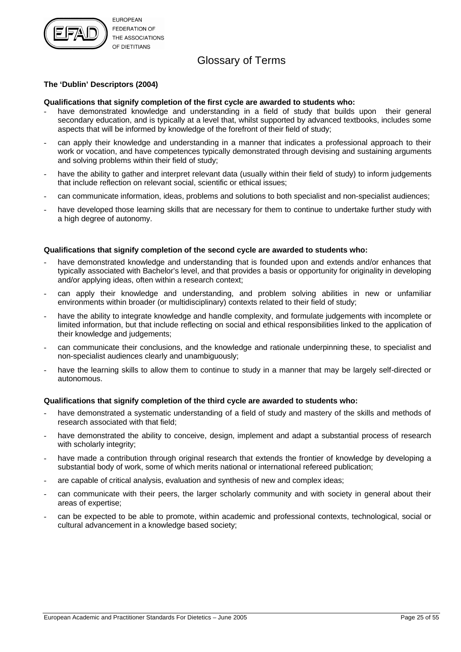

# Glossary of Terms

### **The 'Dublin' Descriptors (2004)**

### **Qualifications that signify completion of the first cycle are awarded to students who:**

- have demonstrated knowledge and understanding in a field of study that builds upon their general secondary education, and is typically at a level that, whilst supported by advanced textbooks, includes some aspects that will be informed by knowledge of the forefront of their field of study;
- can apply their knowledge and understanding in a manner that indicates a professional approach to their work or vocation, and have competences typically demonstrated through devising and sustaining arguments and solving problems within their field of study;
- have the ability to gather and interpret relevant data (usually within their field of study) to inform judgements that include reflection on relevant social, scientific or ethical issues;
- can communicate information, ideas, problems and solutions to both specialist and non-specialist audiences;
- have developed those learning skills that are necessary for them to continue to undertake further study with a high degree of autonomy.

### **Qualifications that signify completion of the second cycle are awarded to students who:**

- have demonstrated knowledge and understanding that is founded upon and extends and/or enhances that typically associated with Bachelor's level, and that provides a basis or opportunity for originality in developing and/or applying ideas, often within a research context;
- can apply their knowledge and understanding, and problem solving abilities in new or unfamiliar environments within broader (or multidisciplinary) contexts related to their field of study;
- have the ability to integrate knowledge and handle complexity, and formulate judgements with incomplete or limited information, but that include reflecting on social and ethical responsibilities linked to the application of their knowledge and judgements;
- can communicate their conclusions, and the knowledge and rationale underpinning these, to specialist and non-specialist audiences clearly and unambiguously;
- have the learning skills to allow them to continue to study in a manner that may be largely self-directed or autonomous.

### **Qualifications that signify completion of the third cycle are awarded to students who:**

- have demonstrated a systematic understanding of a field of study and mastery of the skills and methods of research associated with that field;
- have demonstrated the ability to conceive, design, implement and adapt a substantial process of research with scholarly integrity;
- have made a contribution through original research that extends the frontier of knowledge by developing a substantial body of work, some of which merits national or international refereed publication;
- are capable of critical analysis, evaluation and synthesis of new and complex ideas;
- can communicate with their peers, the larger scholarly community and with society in general about their areas of expertise;
- can be expected to be able to promote, within academic and professional contexts, technological, social or cultural advancement in a knowledge based society;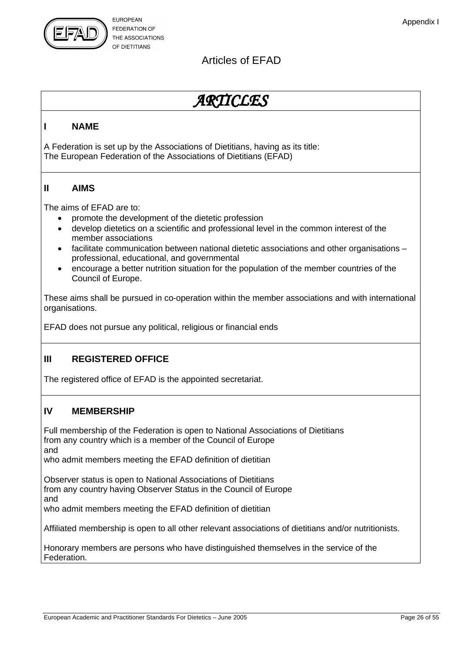

Articles of EFAD

# *ARTICLES*

## **I NAME**

A Federation is set up by the Associations of Dietitians, having as its title: The European Federation of the Associations of Dietitians (EFAD)

## **II AIMS**

The aims of EFAD are to:

- promote the development of the dietetic profession
- develop dietetics on a scientific and professional level in the common interest of the member associations
- facilitate communication between national dietetic associations and other organisations professional, educational, and governmental
- encourage a better nutrition situation for the population of the member countries of the Council of Europe.

These aims shall be pursued in co-operation within the member associations and with international organisations.

EFAD does not pursue any political, religious or financial ends

# **III REGISTERED OFFICE**

The registered office of EFAD is the appointed secretariat.

### **IV MEMBERSHIP**

Full membership of the Federation is open to National Associations of Dietitians from any country which is a member of the Council of Europe and who admit members meeting the EFAD definition of dietitian

Observer status is open to National Associations of Dietitians from any country having Observer Status in the Council of Europe and

who admit members meeting the EFAD definition of dietitian

Affiliated membership is open to all other relevant associations of dietitians and/or nutritionists.

Honorary members are persons who have distinguished themselves in the service of the Federation.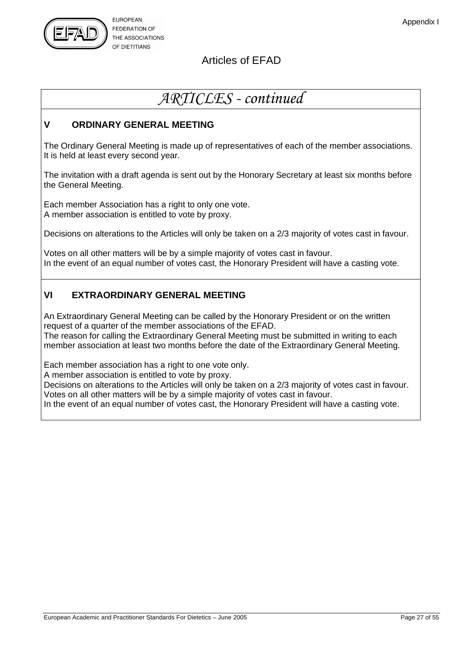

Articles of EFAD

# *ARTICLES - continued*

### **V ORDINARY GENERAL MEETING**

The Ordinary General Meeting is made up of representatives of each of the member associations. It is held at least every second year.

The invitation with a draft agenda is sent out by the Honorary Secretary at least six months before the General Meeting.

Each member Association has a right to only one vote. A member association is entitled to vote by proxy.

Decisions on alterations to the Articles will only be taken on a 2/3 majority of votes cast in favour.

Votes on all other matters will be by a simple majority of votes cast in favour. In the event of an equal number of votes cast, the Honorary President will have a casting vote.

# **VI EXTRAORDINARY GENERAL MEETING**

An Extraordinary General Meeting can be called by the Honorary President or on the written request of a quarter of the member associations of the EFAD.

The reason for calling the Extraordinary General Meeting must be submitted in writing to each member association at least two months before the date of the Extraordinary General Meeting.

Each member association has a right to one vote only.

A member association is entitled to vote by proxy.

Decisions on alterations to the Articles will only be taken on a 2/3 majority of votes cast in favour. Votes on all other matters will be by a simple majority of votes cast in favour.

In the event of an equal number of votes cast, the Honorary President will have a casting vote.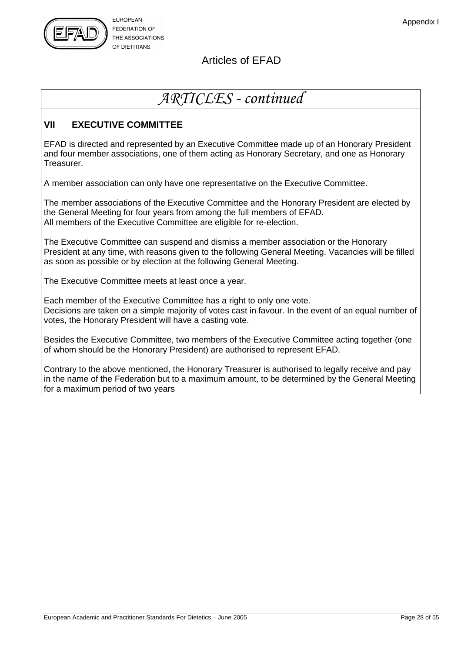

Appendix I

Articles of EFAD

# *ARTICLES - continued*

# **VII EXECUTIVE COMMITTEE**

EFAD is directed and represented by an Executive Committee made up of an Honorary President and four member associations, one of them acting as Honorary Secretary, and one as Honorary Treasurer.

A member association can only have one representative on the Executive Committee.

The member associations of the Executive Committee and the Honorary President are elected by the General Meeting for four years from among the full members of EFAD. All members of the Executive Committee are eligible for re-election.

The Executive Committee can suspend and dismiss a member association or the Honorary President at any time, with reasons given to the following General Meeting. Vacancies will be filled as soon as possible or by election at the following General Meeting.

The Executive Committee meets at least once a year.

Each member of the Executive Committee has a right to only one vote. Decisions are taken on a simple majority of votes cast in favour. In the event of an equal number of votes, the Honorary President will have a casting vote.

Besides the Executive Committee, two members of the Executive Committee acting together (one of whom should be the Honorary President) are authorised to represent EFAD.

Contrary to the above mentioned, the Honorary Treasurer is authorised to legally receive and pay in the name of the Federation but to a maximum amount, to be determined by the General Meeting for a maximum period of two years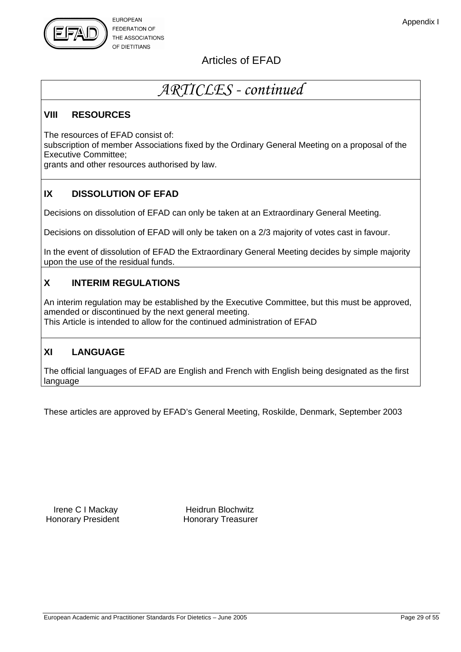

Articles of EFAD

# *ARTICLES - continued*

### **VIII RESOURCES**

The resources of EFAD consist of:

subscription of member Associations fixed by the Ordinary General Meeting on a proposal of the Executive Committee;

grants and other resources authorised by law.

## **IX DISSOLUTION OF EFAD**

Decisions on dissolution of EFAD can only be taken at an Extraordinary General Meeting.

Decisions on dissolution of EFAD will only be taken on a 2/3 majority of votes cast in favour.

In the event of dissolution of EFAD the Extraordinary General Meeting decides by simple majority upon the use of the residual funds.

# **X INTERIM REGULATIONS**

An interim regulation may be established by the Executive Committee, but this must be approved, amended or discontinued by the next general meeting. This Article is intended to allow for the continued administration of EFAD

# **XI LANGUAGE**

The official languages of EFAD are English and French with English being designated as the first language

These articles are approved by EFAD's General Meeting, Roskilde, Denmark, September 2003

Honorary President Honorary Treasurer

Irene C I Mackay Heidrun Blochwitz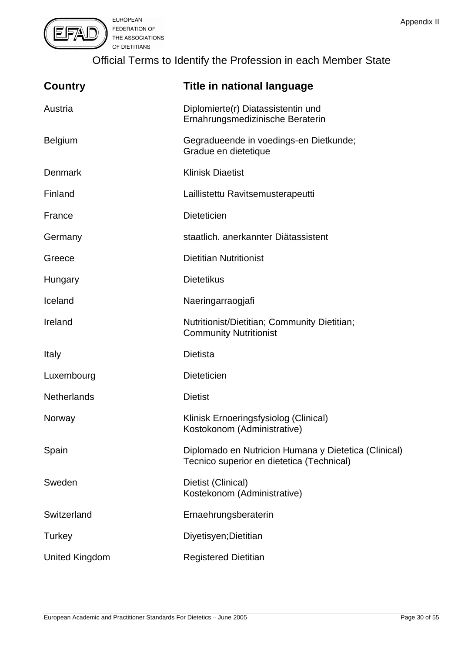

# Official Terms to Identify the Profession in each Member State

| <b>Country</b>        | Title in national language                                                                        |
|-----------------------|---------------------------------------------------------------------------------------------------|
| Austria               | Diplomierte(r) Diatassistentin und<br>Ernahrungsmedizinische Beraterin                            |
| <b>Belgium</b>        | Gegradueende in voedings-en Dietkunde;<br>Gradue en dietetique                                    |
| <b>Denmark</b>        | <b>Klinisk Diaetist</b>                                                                           |
| Finland               | Laillistettu Ravitsemusterapeutti                                                                 |
| France                | <b>Dieteticien</b>                                                                                |
| Germany               | staatlich. anerkannter Diätassistent                                                              |
| Greece                | <b>Dietitian Nutritionist</b>                                                                     |
| Hungary               | <b>Dietetikus</b>                                                                                 |
| Iceland               | Naeringarraogjafi                                                                                 |
| Ireland               | Nutritionist/Dietitian; Community Dietitian;<br><b>Community Nutritionist</b>                     |
| Italy                 | <b>Dietista</b>                                                                                   |
| Luxembourg            | <b>Dieteticien</b>                                                                                |
| <b>Netherlands</b>    | <b>Dietist</b>                                                                                    |
| Norway                | Klinisk Ernoeringsfysiolog (Clinical)<br>Kostokonom (Administrative)                              |
| Spain                 | Diplomado en Nutricion Humana y Dietetica (Clinical)<br>Tecnico superior en dietetica (Technical) |
| Sweden                | Dietist (Clinical)<br>Kostekonom (Administrative)                                                 |
| Switzerland           | Ernaehrungsberaterin                                                                              |
| <b>Turkey</b>         | Diyetisyen; Dietitian                                                                             |
| <b>United Kingdom</b> | <b>Registered Dietitian</b>                                                                       |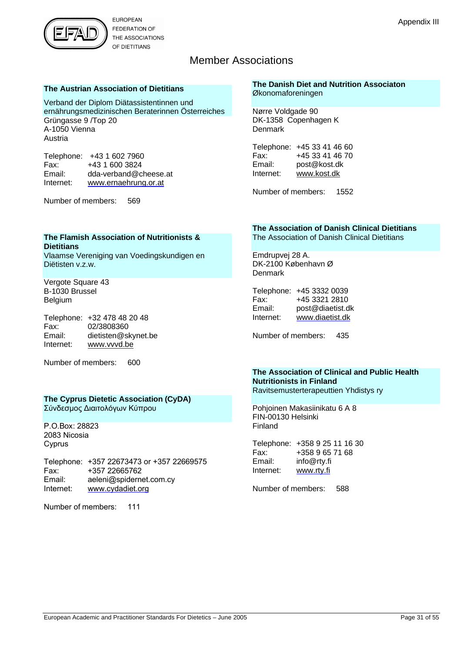

# Member Associations

### **The Austrian Association of Dietitians**

Verband der Diplom Diätassistentinnen und ernährungsmedizinischen Beraterinnen Österreiches Grüngasse 9 /Top 20 A-1050 Vienna Austria

Telephone: +43 1 602 7960 Fax: +43 1 600 3824 Email: dda[-verband@cheese.at](mailto:verband@cheese.at)<br>Internet: www.ernaehrung.or.at [www.ernaehrung.or.at](http://www.ernaehrung.or.at)

Number of members: 569

### **The Flamish Association of Nutritionists & Dietitians**

Vlaamse Vereniging van Voedingskundigen en Diëtisten v.z.w.

Vergote Square 43 B-1030 Brussel Belgium

Telephone: +32 478 48 20 48<br>Fax: 02/3808360 Fax: 02/3808360<br>Email: dietisten@s Email: [dietisten@skynet.be](mailto:dietisten@skynet.be)<br>Internet: www.yyyd.be [www.vvvd.be](http://www.vvvd.be)

Number of members: 600

### **The Cyprus Dietetic Association (CyDA)**

Σύνδεσμος Διαιτολόγων Κύπρου

P.O.Box: 28823 2083 Nicosia Cyprus

Telephone: +357 22673473 or +357 22669575<br>Fax: +357 22665762 +357 22665762 Email: aeleni@spidernet.com.cy Internet: [www.cydadiet.org](http://www.cydadiet.org)

Number of members: 111

### **The Danish Diet and Nutrition Associaton**  Økonomaforeningen

Nørre Voldgade 90 DK-1358 Copenhagen K Denmark

Telephone: +45 33 41 46 60 Fax: +45 33 41 46 70<br>Email: post@kost.dk Email: [post@kost.dk](mailto:post@kost.dk)<br>Internet: www.kost.dk [www.kost.dk](http://www.kost.dk)

Number of members: 1552

## **The Association of Danish Clinical Dietitians**

The Association of Danish Clinical Dietitians

Emdrupvej 28 A. DK-2100 København Ø **Denmark** 

Telephone: +45 3332 0039 Fax: +45 3321 2810 Email: [post@diaetist.dk](mailto:post@diaetist.dk)<br>Internet: www.diaetist.dk [www.diaetist.dk](http://www.diaetist.dk)

Number of members: 435

# **The Association of Clinical and Public Health Nutritionists in Finland**

Ravitsemusterterapeuttien Yhdistys ry

Pohjoinen Makasiinikatu 6 A 8 FIN-00130 Helsinki Finland

Telephone: +358 9 25 11 16 30 Fax: +358 9 65 71 68<br>Email: info@rty.fi Email: [info@rty.fi](mailto:info@rty.fi)<br>Internet: www.rtv.fi [www.rty.fi](http://www.rty.fi)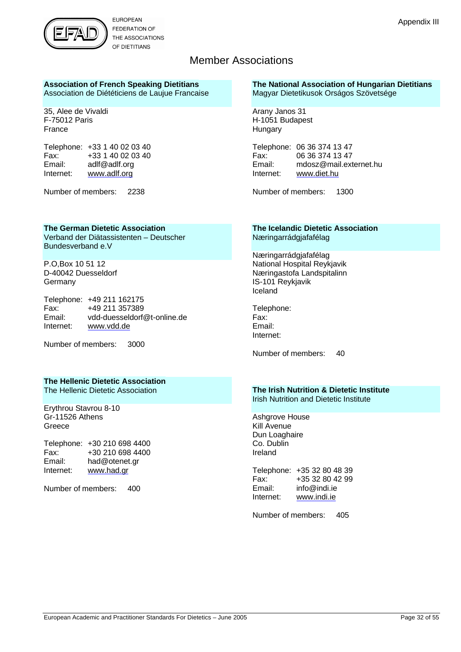

# Member Associations

### **Association of French Speaking Dietitians**

Association de Diététiciens de Laujue Francaise

35, Alee de Vivaldi F-75012 Paris France

Telephone: +33 1 40 02 03 40 Fax: +33 1 40 02 03 40 Email: [adlf@adlf.org](mailto:adlf@adlf.org)<br>Internet: www.adlf.org [www.adlf.org](http://www.adlf.org)

Number of members: 2238

### **The German Dietetic Association**

Verband der Diätassistenten – Deutscher Bundesverband e.V

P.O,Box 10 51 12 D-40042 Duesseldorf **Germany** 

Telephone: +49 211 162175 Fax: +49 211 357389<br>Email: vdd-duesseldorf Email: vdd-[duesseldorf@t-online.de](mailto:duesseldorf@t-online.de)<br>Internet: www.vdd.de [www.vdd.de](http://www.vdd.de)

Number of members: 3000

### **The Hellenic Dietetic Association**

The Hellenic Dietetic Association

Erythrou Stavrou 8-10 Gr-11526 Athens Greece

Telephone: +30 210 698 4400 Fax: +30 210 698 4400<br>Email: had@otenet.or Email: [had@otenet.gr](mailto:had@otenet.gr)<br>Internet: www.had.gr [www.had.gr](http://www.had.gr)

Number of members: 400

### **The National Association of Hungarian Dietitians** Magyar Dietetikusok Orságos Szövetsége

Arany Janos 31 H-1051 Budapest **Hungary** 

Telephone: 06 36 374 13 47 Fax: 06 36 374 13 47 Email: mdosz@mail.externet.hu<br>Internet: www.diet.hu [www.diet.hu](http://www.diet.hu)

Number of members: 1300

### **The Icelandic Dietetic Association** Næringarrádgjafafélag

Næringarrádgjafafélag National Hospital Reykjavik Næringastofa Landspitalinn IS-101 Reykjavik Iceland

Telephone: Fax: Email: Internet:

Number of members: 40

## **The Irish Nutrition & Dietetic Institute**

Irish Nutrition and Dietetic Institute

Ashgrove House Kill Avenue Dun Loaghaire Co. Dublin Ireland

Telephone: +35 32 80 48 39<br>Fax: +35 32 80 42 99 Fax: +35 32 80 42 99<br>Email: info@indi.ie  $info@indi.e$ Internet: [www.indi.ie](http://www.indi.ie)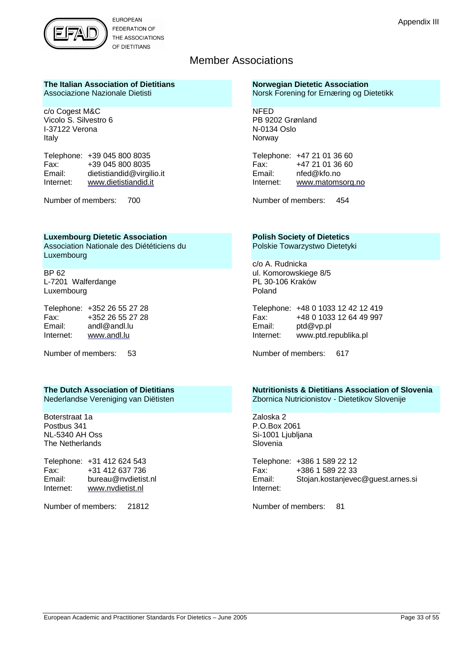

# Member Associations

#### **The Italian Association of Dietitians** Associazione Nazionale Dietisti

c/o Cogest M&C Vicolo S. Silvestro 6 I-37122 Verona Italy

Telephone: +39 045 800 8035 Fax: +39 045 800 8035<br>
Email: dietistiandid@virgil [dietistiandid@virgilio.it](mailto:dietistiandid@virgilio.it) Internet: [www.dietistiandid.it](http://www.dietistiandid.it)

Number of members: 700

**Luxembourg Dietetic Association** Association Nationale des Diététiciens du

Luxembourg

BP 62 L-7201 Walferdange Luxembourg

Telephone: +352 26 55 27 28 Fax: +352 26 55 27 28<br>Email: and @and J.lu Email: [andl@andl.lu](mailto:andl@andl.lu)<br>Internet: www.andl.lu [www.andl.lu](http://www.andl.lu)

Number of members: 53

### **The Dutch Association of Dietitians**

Nederlandse Vereniging van Diëtisten

Boterstraat 1a Postbus 341 NL-5340 AH Oss The Netherlands

Telephone: +31 412 624 543<br>Fax: +31 412 637 736 Fax: +31 412 637 736<br>Email: bureau@nvdietist Email: [bureau@nvdietist.nl](mailto:bureau@nvdietist.nl)<br>Internet: www.nvdietist.nl [www.nvdietist.nl](http://www.nvdietist.nl)

Number of members: 21812

#### **Norwegian Dietetic Association** Norsk Forening for Ernæring og Dietetikk

NFED PB 9202 Grønland N-0134 Oslo Norway

Telephone: +47 21 01 36 60 Fax: +47 21 01 36 60<br>Email: fied@kfo.no nfe[d@kfo.no](mailto:@kfo.no) Internet: [www.matomsorg.no](http://www.matomsorg.no)

Number of members: 454

**Polish Society of Dietetics** Polskie Towarzystwo Dietetyki

c/o A. Rudnicka ul. Komorowskiege 8/5 PL 30-106 Kraków Poland

Telephone: +48 0 1033 12 42 12 419<br>Fax: +48 0 1033 12 64 49 997 Fax: +48 0 1033 12 64 49 997<br>Email: btd@vp.pl Email: [ptd@vp.pl](mailto:ptd@vp.pl)<br>Internet: www.ptd.re [www.ptd.republika.pl](http://www.ptd.republika.pl)

Number of members: 617

### **Nutritionists & Dietitians Association of Slovenia**

Zbornica Nutricionistov - Dietetikov Slovenije

Zaloska 2 P.O.Box 2061 Si-1001 Ljubljana Slovenia

Telephone: +386 1 589 22 12<br>Fax: +386 1 589 22 33 Fax: +386 1 589 22 33<br>
Email: Stoian.kostanieve [Stojan.kostanjevec@guest.arnes.si](http://Stojan.kostanjevec@guest.arnes.si) Internet: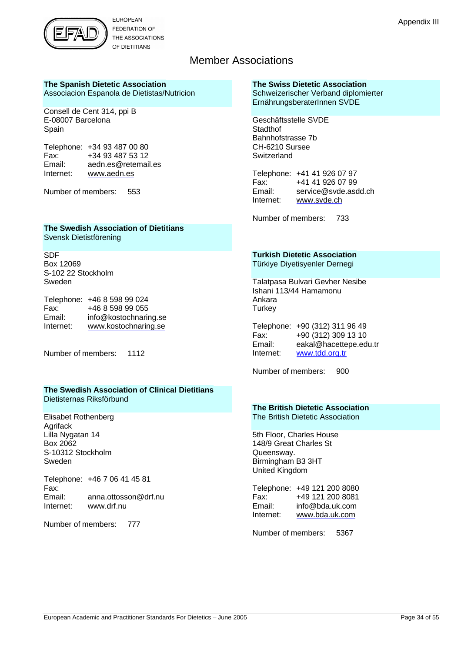

### **The Spanish Dietetic Association**

Associacion Espanola de Dietistas/Nutricion

Consell de Cent 314, ppi B E-08007 Barcelona Spain

Telephone: +34 93 487 00 80 Fax: +34 93 487 53 12 Email: aedn.es@retemail.es<br>Internet: www.aedn.es [www.aedn.es](http://www.aedn.es)

Number of members: 553

### **The Swedish Association of Dietitians** Svensk Dietistförening

SDF Box 12069 S-102 22 Stockholm Sweden

Telephone: +46 8 598 99 024 Fax: +46 8 598 99 055<br>Email: info@kostochnarii Email: [info@kostochnaring.se](mailto:info@kostochnaring.se)<br>Internet: www.kostochnaring.se [www.kostochnaring.se](http://www.kostochnaring.se)

Number of members: 1112

#### **The Swedish Association of Clinical Dietitians** Dietisternas Riksförbund

Elisabet Rothenberg Agrifack Lilla Nygatan 14 Box 2062 S-10312 Stockholm Sweden

Telephone: +46 7 06 41 45 81 Fax:<br>Fmail: anna.ottosson@drf.nu Internet: [www.drf.nu](http://www.drf.nu)

Number of members: 777

### **The Swiss Dietetic Association**

Schweizerischer Verband diplomierter ErnährungsberaterInnen SVDE

Geschäftsstelle SVDE **Stadthof** Bahnhofstrasse 7b CH-6210 Sursee **Switzerland** 

Telephone: +41 41 926 07 97 Fax: +41 41 926 07 99 Email: service@svde.asdd.ch<br>Internet: www.svde.ch [www.svde.ch](http://www.svde.ch)

Number of members: 733

### **Turkish Dietetic Association**

Türkiye Diyetisyenler Dernegi

Talatpasa Bulvari Gevher Nesibe Ishani 113/44 Hamamonu Ankara **Turkey** 

Telephone: +90 (312) 311 96 49<br>Fax: +90 (312) 309 13 10 Fax: +90 (312) 309 13 10<br>Email: eakal@hacettepe.ed Email: eakal@hacettepe.edu.tr<br>Internet: www.tdd.org.tr [www.tdd.org.tr](http://www.tdd.org.tr)

Number of members: 900

### **The British Dietetic Association**

The British Dietetic Association

5th Floor, Charles House 148/9 Great Charles St Queensway. Birmingham B3 3HT United Kingdom

Telephone: +49 121 200 8080 Fax: +49 121 200 8081 Email: info@bda.uk.com Internet: [www.bda.uk.com](http://www.bda.uk.com)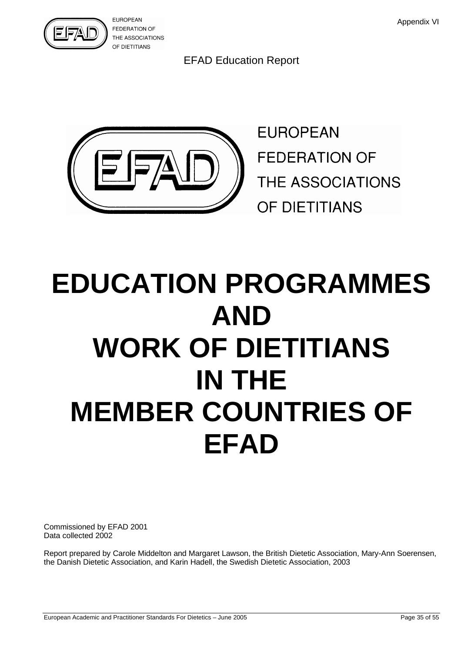



EFAD Education Report



**FUROPFAN** FEDERATION OF THE ASSOCIATIONS OF DIETITIANS

# **EDUCATION PROGRAMMES AND WORK OF DIETITIANS IN THE MEMBER COUNTRIES OF EFAD**

Commissioned by EFAD 2001 Data collected 2002

Report prepared by Carole Middelton and Margaret Lawson, the British Dietetic Association, Mary-Ann Soerensen, the Danish Dietetic Association, and Karin Hadell, the Swedish Dietetic Association, 2003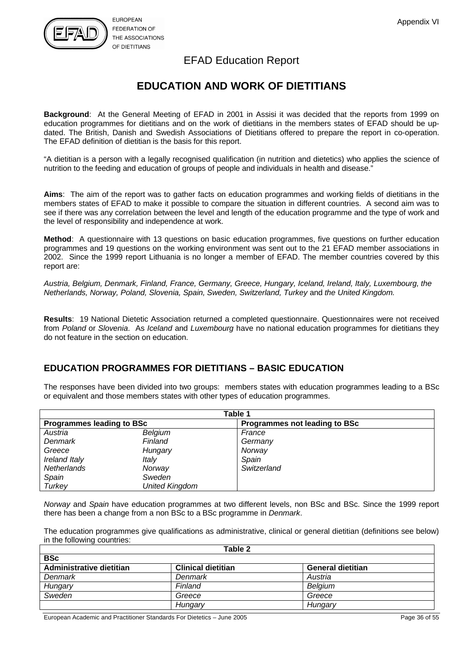

# EFAD Education Report

# **EDUCATION AND WORK OF DIETITIANS**

**Background**: At the General Meeting of EFAD in 2001 in Assisi it was decided that the reports from 1999 on education programmes for dietitians and on the work of dietitians in the members states of EFAD should be updated. The British, Danish and Swedish Associations of Dietitians offered to prepare the report in co-operation. The EFAD definition of dietitian is the basis for this report.

"A dietitian is a person with a legally recognised qualification (in nutrition and dietetics) who applies the science of nutrition to the feeding and education of groups of people and individuals in health and disease."

**Aims**: The aim of the report was to gather facts on education programmes and working fields of dietitians in the members states of EFAD to make it possible to compare the situation in different countries. A second aim was to see if there was any correlation between the level and length of the education programme and the type of work and the level of responsibility and independence at work.

**Method**: A questionnaire with 13 questions on basic education programmes, five questions on further education programmes and 19 questions on the working environment was sent out to the 21 EFAD member associations in 2002. Since the 1999 report Lithuania is no longer a member of EFAD. The member countries covered by this report are:

*Austria, Belgium, Denmark, Finland, France, Germany, Greece, Hungary, Iceland, Ireland, Italy, Luxembourg, the Netherlands, Norway, Poland, Slovenia, Spain, Sweden, Switzerland, Turkey* and *the United Kingdom.*

**Results**: 19 National Dietetic Association returned a completed questionnaire. Questionnaires were not received from *Poland* or *Slovenia*. As *Iceland* and *Luxembourg* have no national education programmes for dietitians they do not feature in the section on education.

# **EDUCATION PROGRAMMES FOR DIETITIANS – BASIC EDUCATION**

The responses have been divided into two groups: members states with education programmes leading to a BSc or equivalent and those members states with other types of education programmes.

| Table 1                          |                       |                               |  |  |
|----------------------------------|-----------------------|-------------------------------|--|--|
| <b>Programmes leading to BSc</b> |                       | Programmes not leading to BSc |  |  |
| Austria                          | Belgium               | France                        |  |  |
| Denmark                          | Finland               | Germany                       |  |  |
| Greece                           | Hungary               | Norway                        |  |  |
| Ireland Italy                    | Italy                 | Spain                         |  |  |
| <b>Netherlands</b>               | Norway                | Switzerland                   |  |  |
| Spain                            | Sweden                |                               |  |  |
| Turkey                           | <b>United Kingdom</b> |                               |  |  |

*Norway* and *Spain* have education programmes at two different levels, non BSc and BSc. Since the 1999 report there has been a change from a non BSc to a BSc programme in *Denmark*.

The education programmes give qualifications as administrative, clinical or general dietitian (definitions see below) in the following countries:

| Table 2                                                                           |         |         |  |  |
|-----------------------------------------------------------------------------------|---------|---------|--|--|
| <b>BSc</b>                                                                        |         |         |  |  |
| Administrative dietitian<br><b>Clinical dietitian</b><br><b>General dietitian</b> |         |         |  |  |
| Denmark                                                                           | Denmark | Austria |  |  |
| Hungary                                                                           | Finland | Belgium |  |  |
| Sweden                                                                            | Greece  | Greece  |  |  |
|                                                                                   | Hungary | Hungary |  |  |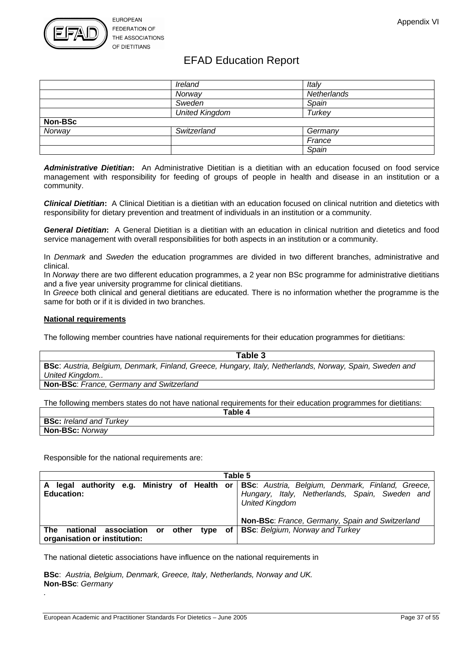

# EFAD Education Report

|         | Ireland               | Italy       |
|---------|-----------------------|-------------|
|         | Norway                | Netherlands |
|         | Sweden                | Spain       |
|         | <b>United Kingdom</b> | Turkey      |
| Non-BSc |                       |             |
| Norway  | Switzerland           | Germany     |
|         |                       | France      |
|         |                       | Spain       |

*Administrative Dietitian***:** An Administrative Dietitian is a dietitian with an education focused on food service management with responsibility for feeding of groups of people in health and disease in an institution or a community.

*Clinical Dietitian***:** A Clinical Dietitian is a dietitian with an education focused on clinical nutrition and dietetics with responsibility for dietary prevention and treatment of individuals in an institution or a community.

*General Dietitian***:** A General Dietitian is a dietitian with an education in clinical nutrition and dietetics and food service management with overall responsibilities for both aspects in an institution or a community.

In *Denmark* and *Sweden* the education programmes are divided in two different branches, administrative and clinical.

In *Norway* there are two different education programmes, a 2 year non BSc programme for administrative dietitians and a five year university programme for clinical dietitians.

In *Greece* both clinical and general dietitians are educated. There is no information whether the programme is the same for both or if it is divided in two branches.

### **National requirements**

*.*

The following member countries have national requirements for their education programmes for dietitians:

**Table 3 BSc**: *Austria, Belgium, Denmark, Finland, Greece, Hungary, Italy, Netherlands, Norway, Spain, Sweden and United Kingdom..*

**Non-BSc**: *France, Germany and Switzerland*

The following members states do not have national requirements for their education programmes for dietitians:

| ™able 4                        |
|--------------------------------|
| <b>BSc:</b> Ireland and Turkey |
| Non-BSc: Norway                |

Responsible for the national requirements are:

| Table 5                                                                                                                         |                                                                                                                                                                          |  |  |
|---------------------------------------------------------------------------------------------------------------------------------|--------------------------------------------------------------------------------------------------------------------------------------------------------------------------|--|--|
| Education:                                                                                                                      | A legal authority e.g. Ministry of Health or BSc: Austria, Belgium, Denmark, Finland, Greece,<br>Hungary, Italy, Netherlands, Spain, Sweden and<br><b>United Kingdom</b> |  |  |
|                                                                                                                                 | Non-BSc: France, Germany, Spain and Switzerland                                                                                                                          |  |  |
| <b>BSc: Belgium, Norway and Turkey</b><br>association or<br>type of<br>national<br>other<br>The<br>organisation or institution: |                                                                                                                                                                          |  |  |

The national dietetic associations have influence on the national requirements in

**BSc**: *Austria, Belgium, Denmark, Greece, Italy, Netherlands, Norway and UK.* **Non-BSc**: *Germany*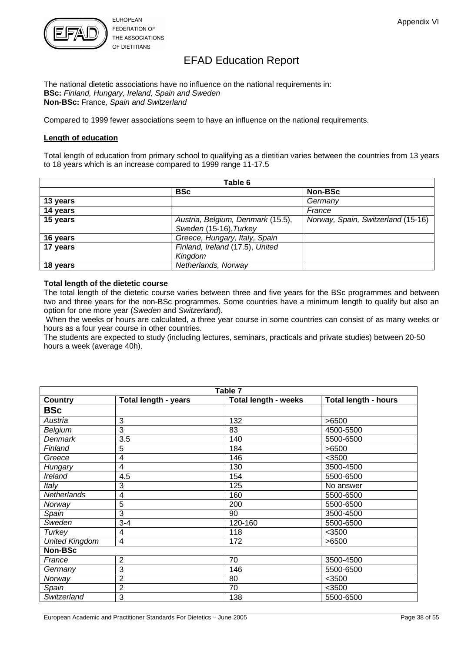

# EFAD Education Report

The national dietetic associations have no influence on the national requirements in: **BSc:** *Finland, Hungary, Ireland, Spain and Sweden* **Non-BSc:** France*, Spain and Switzerland* 

Compared to 1999 fewer associations seem to have an influence on the national requirements.

### **Length of education**

Total length of education from primary school to qualifying as a dietitian varies between the countries from 13 years to 18 years which is an increase compared to 1999 range 11-17.5

| Table 6  |                                   |                                    |  |
|----------|-----------------------------------|------------------------------------|--|
|          | <b>BSc</b>                        | Non-BSc                            |  |
| 13 years |                                   | Germany                            |  |
| 14 years |                                   | France                             |  |
| 15 years | Austria, Belgium, Denmark (15.5), | Norway, Spain, Switzerland (15-16) |  |
|          | Sweden (15-16), Turkey            |                                    |  |
| 16 years | Greece, Hungary, Italy, Spain     |                                    |  |
| 17 years | Finland, Ireland (17.5), United   |                                    |  |
|          | Kingdom                           |                                    |  |
| 18 years | Netherlands, Norway               |                                    |  |

### **Total length of the dietetic course**

The total length of the dietetic course varies between three and five years for the BSc programmes and between two and three years for the non-BSc programmes. Some countries have a minimum length to qualify but also an option for one more year (*Sweden* and *Switzerland*).

When the weeks or hours are calculated, a three year course in some countries can consist of as many weeks or hours as a four year course in other countries.

The students are expected to study (including lectures, seminars, practicals and private studies) between 20-50 hours a week (average 40h).

| Table 7               |                             |                             |                             |
|-----------------------|-----------------------------|-----------------------------|-----------------------------|
| <b>Country</b>        | <b>Total length - years</b> | <b>Total length - weeks</b> | <b>Total length - hours</b> |
| <b>BSc</b>            |                             |                             |                             |
| Austria               | 3                           | 132                         | >6500                       |
| Belgium               | 3                           | 83                          | 4500-5500                   |
| <b>Denmark</b>        | 3.5                         | 140                         | 5500-6500                   |
| Finland               | 5                           | 184                         | >6500                       |
| Greece                | 4                           | 146                         | $<$ 3500                    |
| Hungary               | 4                           | 130                         | 3500-4500                   |
| Ireland               | 4.5                         | 154                         | 5500-6500                   |
| Italy                 | 3                           | 125                         | No answer                   |
| Netherlands           | $\overline{\mathbf{4}}$     | 160                         | 5500-6500                   |
| Norway                | 5                           | 200                         | 5500-6500                   |
| Spain                 | 3                           | 90                          | 3500-4500                   |
| Sweden                | $3 - 4$                     | 120-160                     | 5500-6500                   |
| Turkey                | 4                           | 118                         | $<$ 3500                    |
| <b>United Kingdom</b> | 4                           | 172                         | >6500                       |
| <b>Non-BSc</b>        |                             |                             |                             |
| France                | $\boldsymbol{2}$            | 70                          | 3500-4500                   |
| Germany               | 3                           | 146                         | 5500-6500                   |
| Norway                | 2                           | 80                          | $<$ 3500                    |
| Spain                 | 2                           | 70                          | $<$ 3500                    |
| Switzerland           | 3                           | 138                         | 5500-6500                   |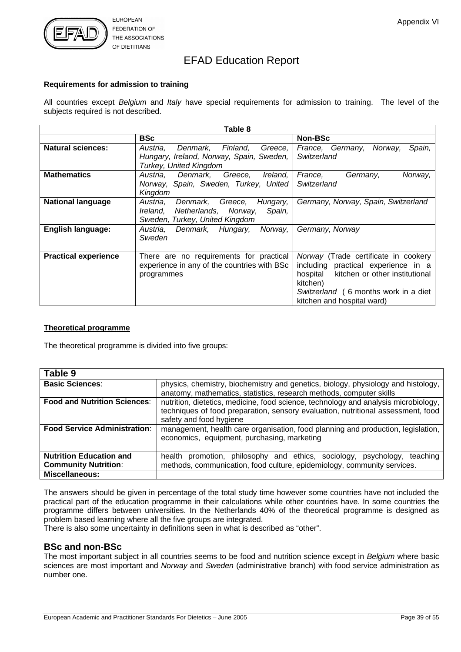

# EFAD Education Report

### **Requirements for admission to training**

All countries except *Belgium* and *Italy* have special requirements for admission to training. The level of the subjects required is not described.

| Table 8                     |                                             |                                            |
|-----------------------------|---------------------------------------------|--------------------------------------------|
|                             | <b>BSc</b>                                  | Non-BSc                                    |
| <b>Natural sciences:</b>    | Finland,<br>Greece,<br>Denmark,<br>Austria, | Spain,<br>Norway,<br>France, Germany,      |
|                             | Hungary, Ireland, Norway, Spain, Sweden,    | Switzerland                                |
|                             | Turkey, United Kingdom                      |                                            |
| <b>Mathematics</b>          | Greece.<br>Ireland,<br>Austria.<br>Denmark. | France,<br>Germany,<br>Norway,             |
|                             | Norway, Spain, Sweden, Turkey, United       | Switzerland                                |
|                             | Kingdom                                     |                                            |
| <b>National language</b>    | Austria.<br>Hungary,<br>Denmark.<br>Greece. | Germany, Norway, Spain, Switzerland        |
|                             | Ireland,<br>Netherlands, Norway,<br>Spain,  |                                            |
|                             | Sweden, Turkey, United Kingdom              |                                            |
| English language:           | Austria.<br>Denmark, Hungary,<br>Norway,    | Germany, Norway                            |
|                             | Sweden                                      |                                            |
|                             |                                             |                                            |
| <b>Practical experience</b> | There are no requirements for practical     | Norway (Trade certificate in cookery       |
|                             | experience in any of the countries with BSc | practical experience in a<br>including     |
|                             | programmes                                  | kitchen or other institutional<br>hospital |
|                             |                                             | kitchen)                                   |
|                             |                                             | Switzerland (6 months work in a diet       |
|                             |                                             | kitchen and hospital ward)                 |

### **Theoretical programme**

The theoretical programme is divided into five groups:

| Table 9                             |                                                                                     |
|-------------------------------------|-------------------------------------------------------------------------------------|
| <b>Basic Sciences:</b>              | physics, chemistry, biochemistry and genetics, biology, physiology and histology,   |
|                                     | anatomy, mathematics, statistics, research methods, computer skills                 |
| <b>Food and Nutrition Sciences:</b> | nutrition, dietetics, medicine, food science, technology and analysis microbiology, |
|                                     | techniques of food preparation, sensory evaluation, nutritional assessment, food    |
|                                     | safety and food hygiene                                                             |
| <b>Food Service Administration:</b> | management, health care organisation, food planning and production, legislation,    |
|                                     | economics, equipment, purchasing, marketing                                         |
|                                     |                                                                                     |
| <b>Nutrition Education and</b>      | health promotion, philosophy and ethics, sociology, psychology,<br>teaching         |
| <b>Community Nutrition:</b>         | methods, communication, food culture, epidemiology, community services.             |
| Miscellaneous:                      |                                                                                     |

The answers should be given in percentage of the total study time however some countries have not included the practical part of the education programme in their calculations while other countries have. In some countries the programme differs between universities. In the Netherlands 40% of the theoretical programme is designed as problem based learning where all the five groups are integrated.

There is also some uncertainty in definitions seen in what is described as "other".

### **BSc and non-BSc**

The most important subject in all countries seems to be food and nutrition science except in *Belgium* where basic sciences are most important and *Norway* and *Sweden* (administrative branch) with food service administration as number one.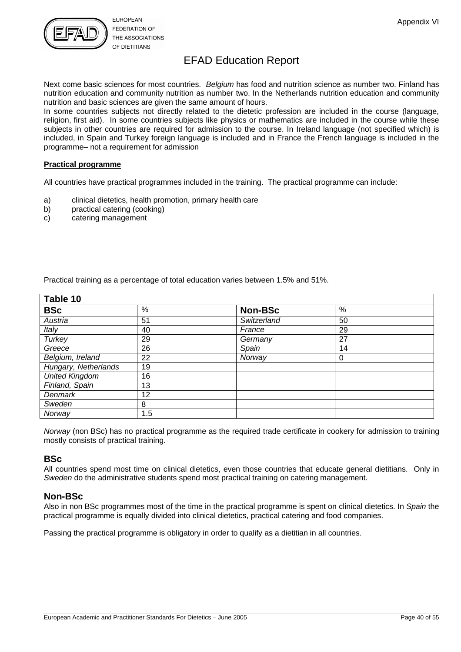

# EFAD Education Report

Next come basic sciences for most countries. *Belgium* has food and nutrition science as number two. Finland has nutrition education and community nutrition as number two. In the Netherlands nutrition education and community nutrition and basic sciences are given the same amount of hours.

In some countries subjects not directly related to the dietetic profession are included in the course (language, religion, first aid). In some countries subjects like physics or mathematics are included in the course while these subjects in other countries are required for admission to the course. In Ireland language (not specified which) is included, in Spain and Turkey foreign language is included and in France the French language is included in the programme– not a requirement for admission

### **Practical programme**

All countries have practical programmes included in the training. The practical programme can include:

- a) clinical dietetics, health promotion, primary health care
- b) practical catering (cooking)
- c) catering management

Practical training as a percentage of total education varies between 1.5% and 51%.

| Table 10              |     |                |    |
|-----------------------|-----|----------------|----|
| <b>BSc</b>            | %   | <b>Non-BSc</b> | %  |
| Austria               | 51  | Switzerland    | 50 |
| <b>Italy</b>          | 40  | France         | 29 |
| <b>Turkey</b>         | 29  | Germany        | 27 |
| Greece                | 26  | Spain          | 14 |
| Belgium, Ireland      | 22  | Norway         | 0  |
| Hungary, Netherlands  | 19  |                |    |
| <b>United Kingdom</b> | 16  |                |    |
| Finland, Spain        | 13  |                |    |
| Denmark               | 12  |                |    |
| Sweden                | 8   |                |    |
| Norway                | 1.5 |                |    |

*Norway* (non BSc) has no practical programme as the required trade certificate in cookery for admission to training mostly consists of practical training.

### **BSc**

All countries spend most time on clinical dietetics, even those countries that educate general dietitians. Only in *Sweden* do the administrative students spend most practical training on catering management.

### **Non-BSc**

Also in non BSc programmes most of the time in the practical programme is spent on clinical dietetics. In *Spain* the practical programme is equally divided into clinical dietetics, practical catering and food companies.

Passing the practical programme is obligatory in order to qualify as a dietitian in all countries.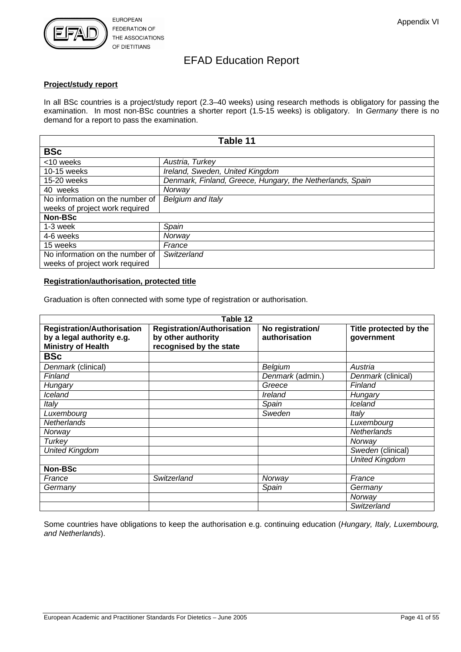

# EFAD Education Report

### **Project/study report**

In all BSc countries is a project/study report (2.3–40 weeks) using research methods is obligatory for passing the examination. In most non-BSc countries a shorter report (1.5-15 weeks) is obligatory. In *Germany* there is no demand for a report to pass the examination.

| Table 11                        |                                                           |  |
|---------------------------------|-----------------------------------------------------------|--|
| <b>BSc</b>                      |                                                           |  |
| <10 weeks                       | Austria, Turkey                                           |  |
| 10-15 weeks                     | Ireland, Sweden, United Kingdom                           |  |
| 15-20 weeks                     | Denmark, Finland, Greece, Hungary, the Netherlands, Spain |  |
| 40 weeks                        | Norway                                                    |  |
| No information on the number of | Belgium and Italy                                         |  |
| weeks of project work required  |                                                           |  |
| <b>Non-BSc</b>                  |                                                           |  |
| $1-3$ week                      | Spain                                                     |  |
| 4-6 weeks                       | Norway                                                    |  |
| 15 weeks                        | France                                                    |  |
| No information on the number of | Switzerland                                               |  |
| weeks of project work required  |                                                           |  |

### **Registration/authorisation, protected title**

Graduation is often connected with some type of registration or authorisation.

| Table 12                                                                                    |                                                                                    |                                   |                                      |
|---------------------------------------------------------------------------------------------|------------------------------------------------------------------------------------|-----------------------------------|--------------------------------------|
| <b>Registration/Authorisation</b><br>by a legal authority e.g.<br><b>Ministry of Health</b> | <b>Registration/Authorisation</b><br>by other authority<br>recognised by the state | No registration/<br>authorisation | Title protected by the<br>government |
| <b>BSc</b>                                                                                  |                                                                                    |                                   |                                      |
| Denmark (clinical)                                                                          |                                                                                    | Belgium                           | Austria                              |
| Finland                                                                                     |                                                                                    | Denmark (admin.)                  | Denmark (clinical)                   |
| Hungary                                                                                     |                                                                                    | Greece                            | Finland                              |
| <b>Iceland</b>                                                                              |                                                                                    | Ireland                           | Hungary                              |
| <b>Italy</b>                                                                                |                                                                                    | Spain                             | <b>Iceland</b>                       |
| Luxembourg                                                                                  |                                                                                    | Sweden                            | Italy                                |
| Netherlands                                                                                 |                                                                                    |                                   | Luxembourg                           |
| Norway                                                                                      |                                                                                    |                                   | Netherlands                          |
| Turkey                                                                                      |                                                                                    |                                   | Norway                               |
| <b>United Kingdom</b>                                                                       |                                                                                    |                                   | Sweden (clinical)                    |
|                                                                                             |                                                                                    |                                   | <b>United Kingdom</b>                |
| <b>Non-BSc</b>                                                                              |                                                                                    |                                   |                                      |
| France                                                                                      | Switzerland                                                                        | Norway                            | France                               |
| Germany                                                                                     |                                                                                    | Spain                             | Germany                              |
|                                                                                             |                                                                                    |                                   | Norway                               |
|                                                                                             |                                                                                    |                                   | Switzerland                          |

Some countries have obligations to keep the authorisation e.g. continuing education (*Hungary, Italy, Luxembourg, and Netherlands*).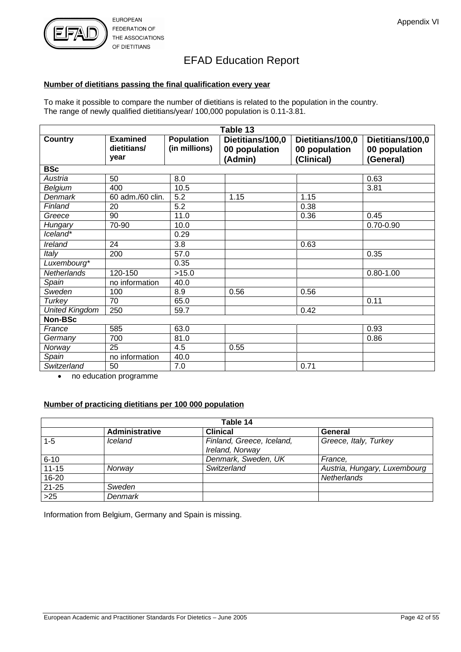

# EFAD Education Report

### **Number of dietitians passing the final qualification every year**

To make it possible to compare the number of dietitians is related to the population in the country. The range of newly qualified dietitians/year/ 100,000 population is 0.11-3.81.

| Table 13              |                                        |                                    |                                              |                                                 |                                                |
|-----------------------|----------------------------------------|------------------------------------|----------------------------------------------|-------------------------------------------------|------------------------------------------------|
| <b>Country</b>        | <b>Examined</b><br>dietitians/<br>year | <b>Population</b><br>(in millions) | Dietitians/100,0<br>00 population<br>(Admin) | Dietitians/100,0<br>00 population<br>(Clinical) | Dietitians/100,0<br>00 population<br>(General) |
| <b>BSc</b>            |                                        |                                    |                                              |                                                 |                                                |
| Austria               | 50                                     | 8.0                                |                                              |                                                 | 0.63                                           |
| Belgium               | 400                                    | 10.5                               |                                              |                                                 | 3.81                                           |
| Denmark               | 60 adm./60 clin.                       | 5.2                                | 1.15                                         | 1.15                                            |                                                |
| Finland               | 20                                     | 5.2                                |                                              | 0.38                                            |                                                |
| Greece                | 90                                     | 11.0                               |                                              | 0.36                                            | 0.45                                           |
| Hungary               | 70-90                                  | 10.0                               |                                              |                                                 | $0.70 - 0.90$                                  |
| Iceland*              |                                        | 0.29                               |                                              |                                                 |                                                |
| Ireland               | 24                                     | 3.8                                |                                              | 0.63                                            |                                                |
| Italy                 | 200                                    | 57.0                               |                                              |                                                 | 0.35                                           |
| Luxembourg*           |                                        | 0.35                               |                                              |                                                 |                                                |
| Netherlands           | 120-150                                | >15.0                              |                                              |                                                 | $0.80 - 1.00$                                  |
| Spain                 | no information                         | 40.0                               |                                              |                                                 |                                                |
| Sweden                | 100                                    | 8.9                                | 0.56                                         | 0.56                                            |                                                |
| Turkey                | 70                                     | 65.0                               |                                              |                                                 | 0.11                                           |
| <b>United Kingdom</b> | 250                                    | 59.7                               |                                              | 0.42                                            |                                                |
| <b>Non-BSc</b>        |                                        |                                    |                                              |                                                 |                                                |
| France                | 585                                    | 63.0                               |                                              |                                                 | 0.93                                           |
| Germany               | 700                                    | 81.0                               |                                              |                                                 | 0.86                                           |
| Norway                | 25                                     | 4.5                                | 0.55                                         |                                                 |                                                |
| Spain                 | no information                         | 40.0                               |                                              |                                                 |                                                |
| Switzerland           | 50                                     | 7.0                                |                                              | 0.71                                            |                                                |

no education programme

### **Number of practicing dietitians per 100 000 population**

| Table 14  |                       |                           |                              |
|-----------|-----------------------|---------------------------|------------------------------|
|           | <b>Administrative</b> | <b>Clinical</b>           | General                      |
| $1 - 5$   | <b>Iceland</b>        | Finland, Greece, Iceland, | Greece, Italy, Turkey        |
|           |                       | Ireland, Norway           |                              |
| $6 - 10$  |                       | Denmark, Sweden, UK       | France,                      |
| $11 - 15$ | Norway                | Switzerland               | Austria, Hungary, Luxembourg |
| 16-20     |                       |                           | Netherlands                  |
| $21 - 25$ | Sweden                |                           |                              |
| >25       | Denmark               |                           |                              |

Information from Belgium, Germany and Spain is missing.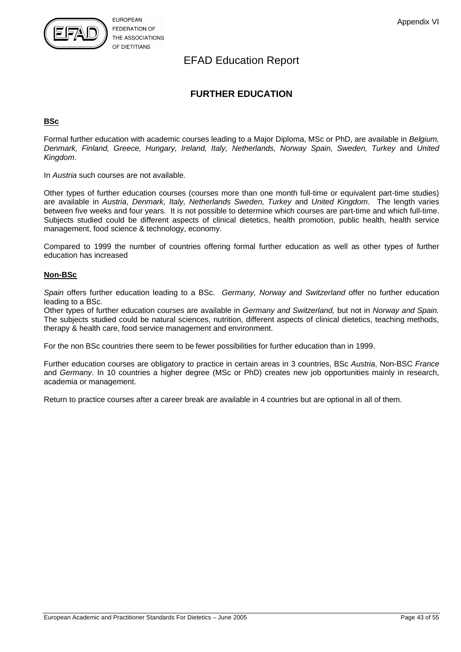

# EFAD Education Report

# **FURTHER EDUCATION**

### **BSc**

Formal further education with academic courses leading to a Major Diploma, MSc or PhD, are available in *Belgium, Denmark, Finland, Greece, Hungary, Ireland, Italy, Netherlands, Norway Spain, Sweden, Turkey* and *United Kingdom*.

In *Austria* such courses are not available.

Other types of further education courses (courses more than one month full-time or equivalent part-time studies) are available in *Austria*, *Denmark, Italy, Netherlands Sweden, Turkey* and *United Kingdom*. The length varies between five weeks and four years. It is not possible to determine which courses are part-time and which full-time. Subjects studied could be different aspects of clinical dietetics, health promotion, public health, health service management, food science & technology, economy.

Compared to 1999 the number of countries offering formal further education as well as other types of further education has increased

### **Non-BSc**

*Spain* offers further education leading to a BSc. *Germany, Norway and Switzerland* offer no further education leading to a BSc.

Other types of further education courses are available in *Germany and Switzerland,* but not in *Norway and Spain.*  The subjects studied could be natural sciences, nutrition, different aspects of clinical dietetics, teaching methods, therapy & health care, food service management and environment.

For the non BSc countries there seem to be fewer possibilities for further education than in 1999.

Further education courses are obligatory to practice in certain areas in 3 countries, BSc *Austria*, Non-BSC *France*  and *Germany*. In 10 countries a higher degree (MSc or PhD) creates new job opportunities mainly in research, academia or management.

Return to practice courses after a career break are available in 4 countries but are optional in all of them.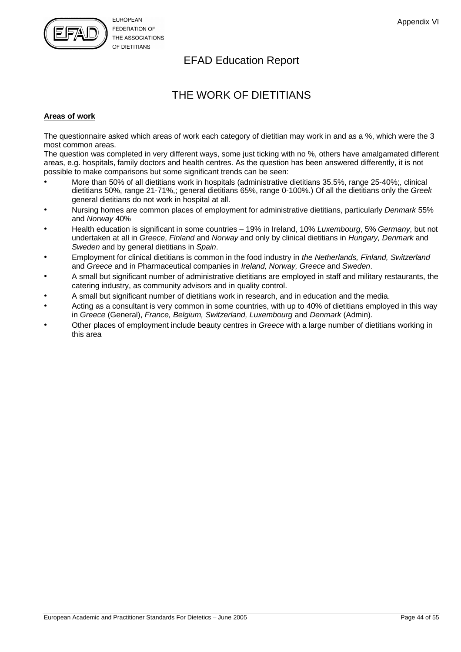

# EFAD Education Report

# THE WORK OF DIETITIANS

### **Areas of work**

The questionnaire asked which areas of work each category of dietitian may work in and as a %, which were the 3 most common areas.

The question was completed in very different ways, some just ticking with no %, others have amalgamated different areas, e.g. hospitals, family doctors and health centres. As the question has been answered differently, it is not possible to make comparisons but some significant trends can be seen:

- More than 50% of all dietitians work in hospitals (administrative dietitians 35.5%, range 25-40%;, clinical dietitians 50%, range 21-71%,; general dietitians 65%, range 0-100%.) Of all the dietitians only the *Greek* general dietitians do not work in hospital at all.
- Nursing homes are common places of employment for administrative dietitians, particularly *Denmark* 55% and *Norway* 40%
- Health education is significant in some countries 19% in Ireland, 10% *Luxembourg*, 5% *Germany*, but not undertaken at all in *Greece*, *Finland* and *Norway* and only by clinical dietitians in *Hungary, Denmark* and *Sweden* and by general dietitians in *Spain*.
- Employment for clinical dietitians is common in the food industry in *the Netherlands, Finland, Switzerland* and *Greece* and in Pharmaceutical companies in *Ireland, Norway, Greece* and *Sweden*.
- A small but significant number of administrative dietitians are employed in staff and military restaurants, the catering industry, as community advisors and in quality control.
- A small but significant number of dietitians work in research, and in education and the media.
- Acting as a consultant is very common in some countries, with up to 40% of dietitians employed in this way in *Greece* (General), *France, Belgium, Switzerland, Luxembourg* and *Denmark* (Admin).
- Other places of employment include beauty centres in *Greece* with a large number of dietitians working in this area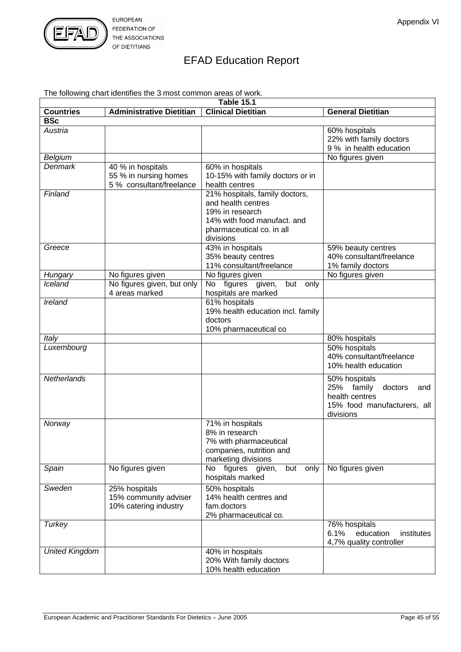

# EFAD Education Report

| The following chart identifies the 3 most common areas of work. |                                                                 |                                                                                                                                                  |                                                                                                                |
|-----------------------------------------------------------------|-----------------------------------------------------------------|--------------------------------------------------------------------------------------------------------------------------------------------------|----------------------------------------------------------------------------------------------------------------|
|                                                                 |                                                                 | <b>Table 15.1</b>                                                                                                                                |                                                                                                                |
| <b>Countries</b>                                                | <b>Administrative Dietitian</b>                                 | <b>Clinical Dietitian</b>                                                                                                                        | <b>General Dietitian</b>                                                                                       |
| <b>BSc</b>                                                      |                                                                 |                                                                                                                                                  |                                                                                                                |
| Austria                                                         |                                                                 |                                                                                                                                                  | 60% hospitals<br>22% with family doctors<br>9 % in health education                                            |
| Belgium                                                         |                                                                 |                                                                                                                                                  | No figures given                                                                                               |
| Denmark                                                         | 40 % in hospitals<br>55 % in nursing homes                      | 60% in hospitals<br>10-15% with family doctors or in                                                                                             |                                                                                                                |
|                                                                 | 5 % consultant/freelance                                        | health centres                                                                                                                                   |                                                                                                                |
| Finland                                                         |                                                                 | 21% hospitals, family doctors,<br>and health centres<br>19% in research<br>14% with food manufact. and<br>pharmaceutical co. in all<br>divisions |                                                                                                                |
| Greece                                                          |                                                                 | 43% in hospitals<br>35% beauty centres                                                                                                           | 59% beauty centres<br>40% consultant/freelance                                                                 |
|                                                                 |                                                                 | 11% consultant/freelance                                                                                                                         | 1% family doctors                                                                                              |
| Hungary                                                         | No figures given                                                | No figures given                                                                                                                                 | No figures given                                                                                               |
| <b>Iceland</b>                                                  | No figures given, but only<br>4 areas marked                    | $\overline{No}$ figures given,<br>but<br>only<br>hospitals are marked                                                                            |                                                                                                                |
| Ireland                                                         |                                                                 | 61% hospitals<br>19% health education incl. family<br>doctors<br>10% pharmaceutical co                                                           |                                                                                                                |
| Italy                                                           |                                                                 |                                                                                                                                                  | 80% hospitals                                                                                                  |
| Luxembourg                                                      |                                                                 |                                                                                                                                                  | 50% hospitals<br>40% consultant/freelance<br>10% health education                                              |
| Netherlands                                                     |                                                                 |                                                                                                                                                  | 50% hospitals<br>family<br>25%<br>doctors<br>and<br>health centres<br>15% food manufacturers, all<br>divisions |
| Norway                                                          |                                                                 | 71% in hospitals<br>8% in research<br>7% with pharmaceutical<br>companies, nutrition and<br>marketing divisions                                  |                                                                                                                |
| Spain                                                           | No figures given                                                | figures<br>only<br>given,<br>but<br>No.<br>hospitals marked                                                                                      | No figures given                                                                                               |
| Sweden                                                          | 25% hospitals<br>15% community adviser<br>10% catering industry | 50% hospitals<br>14% health centres and<br>fam.doctors<br>2% pharmaceutical co.                                                                  |                                                                                                                |
| Turkey                                                          |                                                                 |                                                                                                                                                  | 76% hospitals<br>6.1%<br>education<br>institutes<br>4,7% quality controller                                    |
| <b>United Kingdom</b>                                           |                                                                 | 40% in hospitals<br>20% With family doctors<br>10% health education                                                                              |                                                                                                                |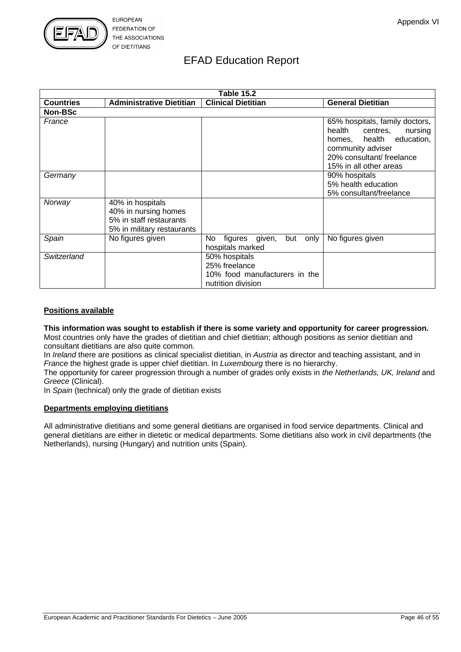

# EFAD Education Report

| <b>Table 15.2</b> |                                                                                                   |                                                                                       |                                                                                                                                                                        |
|-------------------|---------------------------------------------------------------------------------------------------|---------------------------------------------------------------------------------------|------------------------------------------------------------------------------------------------------------------------------------------------------------------------|
| <b>Countries</b>  | <b>Administrative Dietitian</b>                                                                   | <b>Clinical Dietitian</b>                                                             | <b>General Dietitian</b>                                                                                                                                               |
| <b>Non-BSc</b>    |                                                                                                   |                                                                                       |                                                                                                                                                                        |
| France            |                                                                                                   |                                                                                       | 65% hospitals, family doctors,<br>health<br>centres,<br>nursing<br>homes, health education,<br>community adviser<br>20% consultant/freelance<br>15% in all other areas |
| Germany           |                                                                                                   |                                                                                       | 90% hospitals<br>5% health education<br>5% consultant/freelance                                                                                                        |
| Norway            | 40% in hospitals<br>40% in nursing homes<br>5% in staff restaurants<br>5% in military restaurants |                                                                                       |                                                                                                                                                                        |
| Spain             | No figures given                                                                                  | No<br>figures given,<br>but only<br>hospitals marked                                  | No figures given                                                                                                                                                       |
| Switzerland       |                                                                                                   | 50% hospitals<br>25% freelance<br>10% food manufacturers in the<br>nutrition division |                                                                                                                                                                        |

### **Positions available**

### **This information was sought to establish if there is some variety and opportunity for career progression.**

Most countries only have the grades of dietitian and chief dietitian; although positions as senior dietitian and consultant dietitians are also quite common.

In *Ireland* there are positions as clinical specialist dietitian, in *Austria* as director and teaching assistant, and in *France* the highest grade is upper chief dietitian. In *Luxembourg* there is no hierarchy.

The opportunity for career progression through a number of grades only exists in *the Netherlands, UK, Ireland* and *Greece* (Clinical).

In *Spain* (technical) only the grade of dietitian exists

### **Departments employing dietitians**

All administrative dietitians and some general dietitians are organised in food service departments. Clinical and general dietitians are either in dietetic or medical departments. Some dietitians also work in civil departments (the Netherlands), nursing (Hungary) and nutrition units (Spain).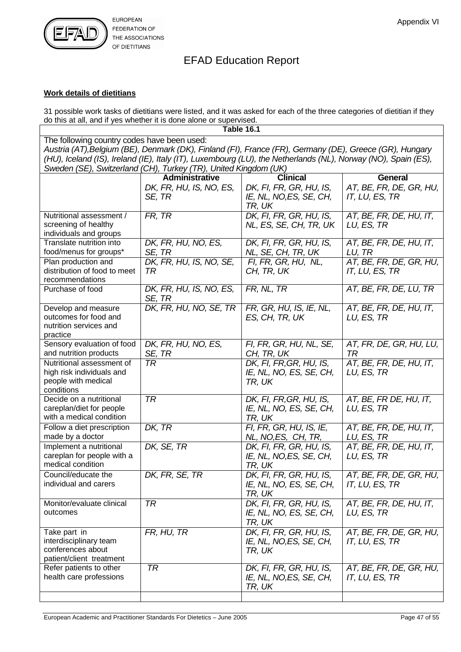

# EFAD Education Report

### **Work details of dietitians**

31 possible work tasks of dietitians were listed, and it was asked for each of the three categories of dietitian if they do this at all, and if yes whether it is done alone or supervised. **Table 16.1**

The following country codes have been used: *Austria (AT),Belgium (BE), Denmark (DK), Finland (FI), France (FR), Germany (DE), Greece (GR), Hungary (HU), Iceland (IS), Ireland (IE), Italy (IT), Luxembourg (LU), the Netherlands (NL), Norway (NO), Spain (ES), Sweden (SE), Switzerland (CH), Turkey (TR), United Kingdom (UK)*

|                              | $1000$ ( $000$ ), $1000$ and $1000$ ), $1000$ $1000$ , $1000$ $1000$ | <b>Clinical</b>         |                         |
|------------------------------|----------------------------------------------------------------------|-------------------------|-------------------------|
|                              | Administrative                                                       |                         | <b>General</b>          |
|                              | DK, FR, HU, IS, NO, ES,                                              | DK, FI, FR, GR, HU, IS, | AT, BE, FR, DE, GR, HU, |
|                              | SE, TR                                                               | IE, NL, NO, ES, SE, CH, | IT, LU, ES, TR          |
|                              |                                                                      | TR, UK                  |                         |
| Nutritional assessment /     | FR, TR                                                               | DK, FI, FR, GR, HU, IS, | AT, BE, FR, DE, HU, IT, |
| screening of healthy         |                                                                      | NL, ES, SE, CH, TR, UK  | LU, ES, TR              |
| individuals and groups       |                                                                      |                         |                         |
| Translate nutrition into     |                                                                      |                         |                         |
|                              | DK, FR, HU, NO, ES,                                                  | DK, FI, FR, GR, HU, IS, | AT, BE, FR, DE, HU, IT, |
| food/menus for groups*       | SE, TR                                                               | NL, SE, CH, TR, UK      | LU, TR                  |
| Plan production and          | DK, FR, HU, IS, NO, SE,                                              | FI, FR, GR, HU, NL,     | AT, BE, FR, DE, GR, HU, |
| distribution of food to meet | TR                                                                   | CH, TR, UK              | IT, LU, ES, TR          |
| recommendations              |                                                                      |                         |                         |
| Purchase of food             | DK, FR, HU, IS, NO, ES,                                              | FR, NL, TR              | AT, BE, FR, DE, LU, TR  |
|                              | SE, TR                                                               |                         |                         |
| Develop and measure          | DK, FR, HU, NO, SE, TR                                               | FR, GR, HU, IS, IE, NL, | AT, BE, FR, DE, HU, IT, |
| outcomes for food and        |                                                                      | ES, CH, TR, UK          | LU, ES, TR              |
| nutrition services and       |                                                                      |                         |                         |
| practice                     |                                                                      |                         |                         |
| Sensory evaluation of food   | DK, FR, HU, NO, ES,                                                  | FI, FR, GR, HU, NL, SE, | AT, FR, DE, GR, HU, LU, |
| and nutrition products       | SE, TR                                                               | CH, TR, UK              | TR                      |
| Nutritional assessment of    | <b>TR</b>                                                            | DK, FI, FR, GR, HU, IS, | AT, BE, FR, DE, HU, IT, |
|                              |                                                                      |                         |                         |
| high risk individuals and    |                                                                      | IE, NL, NO, ES, SE, CH, | LU, ES, TR              |
| people with medical          |                                                                      | TR. UK                  |                         |
| conditions                   |                                                                      |                         |                         |
| Decide on a nutritional      | <b>TR</b>                                                            | DK, FI, FR, GR, HU, IS, | AT, BE, FR DE, HU, IT,  |
| careplan/diet for people     |                                                                      | IE, NL, NO, ES, SE, CH, | LU, ES, TR              |
| with a medical condition     |                                                                      | TR, UK                  |                         |
| Follow a diet prescription   | DK, TR                                                               | FI, FR, GR, HU, IS, IE, | AT, BE, FR, DE, HU, IT, |
| made by a doctor             |                                                                      | NL, NO,ES, CH, TR,      | LU, ES, TR              |
| Implement a nutritional      | DK, SE, TR                                                           | DK, FI, FR, GR, HU, IS, | AT, BE, FR, DE, HU, IT, |
| careplan for people with a   |                                                                      | IE, NL, NO,ES, SE, CH,  | LU, ES, TR              |
| medical condition            |                                                                      | TR, UK                  |                         |
| Council/educate the          | DK, FR, SE, TR                                                       | DK, FI, FR, GR, HU, IS, | AT, BE, FR, DE, GR, HU, |
| individual and carers        |                                                                      |                         |                         |
|                              |                                                                      | IE, NL, NO, ES, SE, CH, | IT, LU, ES, TR          |
|                              |                                                                      | TR, UK                  |                         |
| Monitor/evaluate clinical    | <b>TR</b>                                                            | DK, FI, FR, GR, HU, IS, | AT, BE, FR, DE, HU, IT, |
| outcomes                     |                                                                      | IE, NL, NO, ES, SE, CH, | LU, ES, TR              |
|                              |                                                                      | TR, UK                  |                         |
| Take part in                 | FR, HU, TR                                                           | DK, FI, FR, GR, HU, IS, | AT, BE, FR, DE, GR, HU, |
| interdisciplinary team       |                                                                      | IE, NL, NO, ES, SE, CH, | IT, LU, ES, TR          |
| conferences about            |                                                                      | TR, UK                  |                         |
| patient/client treatment     |                                                                      |                         |                         |
| Refer patients to other      | TR                                                                   | DK, FI, FR, GR, HU, IS, | AT, BE, FR, DE, GR, HU, |
| health care professions      |                                                                      | IE, NL, NO,ES, SE, CH,  | IT, LU, ES, TR          |
|                              |                                                                      |                         |                         |
|                              |                                                                      | TR, UK                  |                         |
|                              |                                                                      |                         |                         |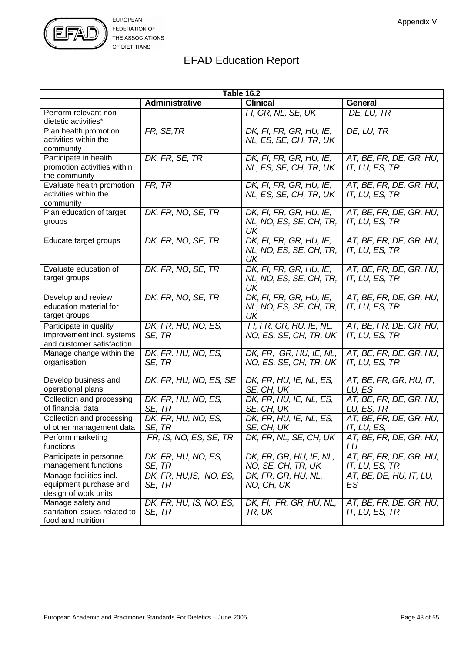

# EFAD Education Report

| <b>Table 16.2</b>                                                                |                                   |                                                          |                                                      |  |
|----------------------------------------------------------------------------------|-----------------------------------|----------------------------------------------------------|------------------------------------------------------|--|
|                                                                                  | <b>Administrative</b>             | <b>Clinical</b>                                          | <b>General</b>                                       |  |
| Perform relevant non<br>dietetic activities*                                     |                                   | FI, GR, NL, SE, UK                                       | DE, LU, TR                                           |  |
| Plan health promotion<br>activities within the<br>community                      | FR, SE, TR                        | DK, FI, FR, GR, HU, IE,<br>NL, ES, SE, CH, TR, UK        | DE, LU, TR                                           |  |
| Participate in health<br>promotion activities within<br>the community            | DK, FR, SE, TR                    | DK, FI, FR, GR, HU, IE,<br>NL, ES, SE, CH, TR, UK        | AT, BE, FR, DE, GR, HU,<br>IT, LU, ES, TR            |  |
| Evaluate health promotion<br>activities within the<br>community                  | FR, TR                            | DK, FI, FR, GR, HU, IE,<br>NL, ES, SE, CH, TR, UK        | AT, BE, FR, DE, GR, HU,<br>IT, LU, ES, TR            |  |
| Plan education of target<br>groups                                               | DK, FR, NO, SE, TR                | DK, FI, FR, GR, HU, IE,<br>NL, NO, ES, SE, CH, TR,<br>UK | AT, BE, FR, DE, GR, HU,<br>IT, LU, ES, TR            |  |
| Educate target groups                                                            | DK, FR, NO, SE, TR                | DK, FI, FR, GR, HU, IE,<br>NL, NO, ES, SE, CH, TR,<br>UK | AT, BE, FR, DE, GR, HU,<br>IT, LU, ES, TR            |  |
| Evaluate education of<br>target groups                                           | DK, FR, NO, SE, TR                | DK, FI, FR, GR, HU, IE,<br>NL, NO, ES, SE, CH, TR,<br>UK | AT, BE, FR, DE, GR, HU,<br>IT, LU, ES, TR            |  |
| Develop and review<br>education material for<br>target groups                    | DK, FR, NO, SE, TR                | DK, FI, FR, GR, HU, IE,<br>NL, NO, ES, SE, CH, TR,<br>UK | AT, BE, FR, DE, GR, HU,<br>IT, LU, ES, TR            |  |
| Participate in quality<br>improvement incl. systems<br>and customer satisfaction | DK, FR, HU, NO, ES,<br>SE, TR     | FI, FR, GR, HU, IE, NL,<br>NO, ES, SE, CH, TR, UK        | AT, BE, FR, DE, GR, HU,<br>IT, LU, ES, TR            |  |
| Manage change within the<br>organisation                                         | DK, FR. HU, NO, ES,<br>SE, TR     | DK, FR, GR, HU, IE, NL,<br>NO, ES, SE, CH, TR, UK        | AT, BE, FR, DE, GR, HU,<br>IT, LU, ES, TR            |  |
| Develop business and<br>operational plans                                        | DK, FR, HU, NO, ES, SE            | DK, FR, HU, IE, NL, ES,<br>SE, CH, UK                    | AT, BE, FR, GR, HU, IT,<br>LU, ES                    |  |
| Collection and processing<br>of financial data                                   | DK, FR, HU, NO, ES,<br>SE, TR     | DK, FR, HU, IE, NL, ES,<br>SE, CH, UK                    | AT, BE, FR, DE, GR, HU,<br>LU, ES, TR                |  |
| Collection and processing<br>of other management data                            | DK, FR, HU, NO, ES,<br>SE, TR     | DK, FR, HU, IE, NL, ES,<br>SE, CH, UK                    | $\overline{AT}$ , BE, FR, DE, GR, HU,<br>IT, LU, ES, |  |
| Perform marketing<br>functions                                                   | FR, IS, NO, ES, SE, TR            | DK, FR, NL, SE, CH, UK                                   | AT, BE, FR, DE, GR, HU,<br>LU                        |  |
| Participate in personnel<br>management functions                                 | DK, FR, HU, NO, ES,<br>SE, TR     | DK, FR, GR, HU, IE, NL,<br>NO, SE, CH, TR, UK            | AT, BE, FR, DE, GR, HU,<br>IT, LU, ES, TR            |  |
| Manage facilities incl.<br>equipment purchase and<br>design of work units        | DK, FR, HU, IS, NO, ES,<br>SE, TR | DK, FR, GR, HU, NL,<br>NO, CH, UK                        | AT, BE, DE, HU, IT, LU,<br>ES                        |  |
| Manage safety and<br>sanitation issues related to<br>food and nutrition          | DK, FR, HU, IS, NO, ES,<br>SE, TR | DK, FI, FR, GR, HU, NL,<br>TR, UK                        | AT, BE, FR, DE, GR, HU,<br>IT, LU, ES, TR            |  |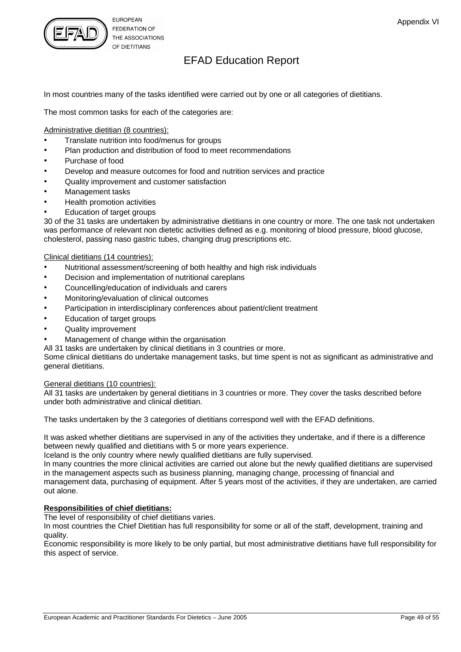

# EFAD Education Report

In most countries many of the tasks identified were carried out by one or all categories of dietitians.

The most common tasks for each of the categories are:

### Administrative dietitian (8 countries):

- Translate nutrition into food/menus for groups
- Plan production and distribution of food to meet recommendations
- Purchase of food
- Develop and measure outcomes for food and nutrition services and practice
- Quality improvement and customer satisfaction
- Management tasks
- Health promotion activities
- Education of target groups

30 of the 31 tasks are undertaken by administrative dietitians in one country or more. The one task not undertaken was performance of relevant non dietetic activities defined as e.g. monitoring of blood pressure, blood glucose, cholesterol, passing naso gastric tubes, changing drug prescriptions etc.

### Clinical dietitians (14 countries):

- Nutritional assessment/screening of both healthy and high risk individuals
- Decision and implementation of nutritional careplans
- Councelling/education of individuals and carers
- Monitoring/evaluation of clinical outcomes
- Participation in interdisciplinary conferences about patient/client treatment
- Education of target groups
- Quality improvement
- Management of change within the organisation
- All 31 tasks are undertaken by clinical dietitians in 3 countries or more.

Some clinical dietitians do undertake management tasks, but time spent is not as significant as administrative and general dietitians.

### General dietitians (10 countries):

All 31 tasks are undertaken by general dietitians in 3 countries or more. They cover the tasks described before under both administrative and clinical dietitian.

The tasks undertaken by the 3 categories of dietitians correspond well with the EFAD definitions.

It was asked whether dietitians are supervised in any of the activities they undertake, and if there is a difference between newly qualified and dietitians with 5 or more years experience.

Iceland is the only country where newly qualified dietitians are fully supervised.

In many countries the more clinical activities are carried out alone but the newly qualified dietitians are supervised in the management aspects such as business planning, managing change, processing of financial and management data, purchasing of equipment. After 5 years most of the activities, if they are undertaken, are carried out alone.

### **Responsibilities of chief dietitians:**

The level of responsibility of chief dietitians varies.

In most countries the Chief Dietitian has full responsibility for some or all of the staff, development, training and quality.

Economic responsibility is more likely to be only partial, but most administrative dietitians have full responsibility for this aspect of service.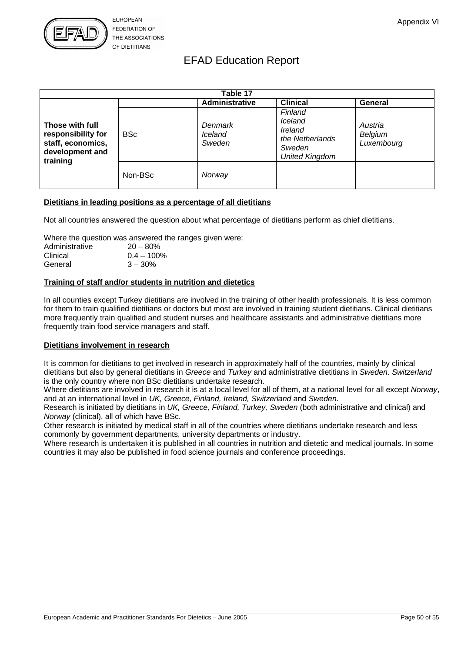

# EFAD Education Report

| Table 17                                                                                  |            |                                            |                                                                                            |                                  |
|-------------------------------------------------------------------------------------------|------------|--------------------------------------------|--------------------------------------------------------------------------------------------|----------------------------------|
|                                                                                           |            | <b>Administrative</b>                      | <b>Clinical</b>                                                                            | <b>General</b>                   |
| Those with full<br>responsibility for<br>staff, economics,<br>development and<br>training | <b>BSc</b> | Denmark<br><i><b>Iceland</b></i><br>Sweden | Finland<br>Iceland<br><b>Ireland</b><br>the Netherlands<br>Sweden<br><b>United Kingdom</b> | Austria<br>Belgium<br>Luxembourg |
|                                                                                           | Non-BSc    | Norway                                     |                                                                                            |                                  |

### **Dietitians in leading positions as a percentage of all dietitians**

Not all countries answered the question about what percentage of dietitians perform as chief dietitians.

Where the question was answered the ranges given were:

| Administrative | $20 - 80%$    |
|----------------|---------------|
| Clinical       | $0.4 - 100\%$ |
| General        | $3 - 30%$     |

### **Training of staff and/or students in nutrition and dietetics**

In all counties except Turkey dietitians are involved in the training of other health professionals. It is less common for them to train qualified dietitians or doctors but most are involved in training student dietitians. Clinical dietitians more frequently train qualified and student nurses and healthcare assistants and administrative dietitians more frequently train food service managers and staff.

### **Dietitians involvement in research**

It is common for dietitians to get involved in research in approximately half of the countries, mainly by clinical dietitians but also by general dietitians in *Greece* and *Turkey* and administrative dietitians in *Sweden*. *Switzerland*  is the only country where non BSc dietitians undertake research.

Where dietitians are involved in research it is at a local level for all of them, at a national level for all except *Norway*, and at an international level in *UK, Greece, Finland, Ireland, Switzerland* and *Sweden*.

Research is initiated by dietitians in *UK, Greece, Finland, Turkey, Sweden* (both administrative and clinical) and *Norway* (clinical), all of which have BSc.

Other research is initiated by medical staff in all of the countries where dietitians undertake research and less commonly by government departments, university departments or industry.

Where research is undertaken it is published in all countries in nutrition and dietetic and medical journals. In some countries it may also be published in food science journals and conference proceedings.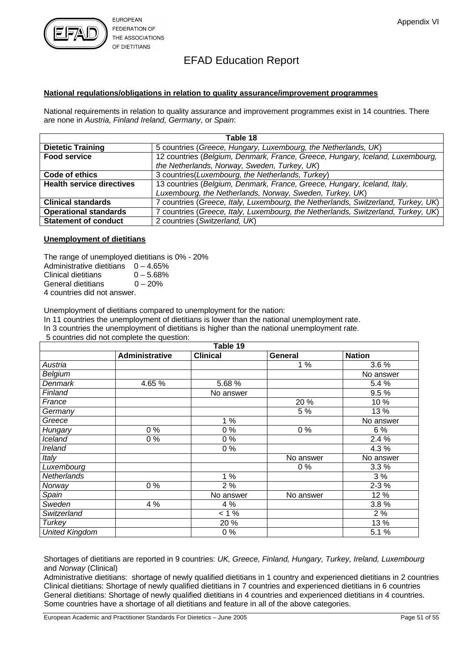

# EFAD Education Report

### **National regulations/obligations in relation to quality assurance/improvement programmes**

National requirements in relation to quality assurance and improvement programmes exist in 14 countries. There are none in *Austria, Finland Ireland, Germany*, or *Spain*:

| Table 18                         |                                                                                   |  |  |  |
|----------------------------------|-----------------------------------------------------------------------------------|--|--|--|
| <b>Dietetic Training</b>         | 5 countries (Greece, Hungary, Luxembourg, the Netherlands, UK)                    |  |  |  |
| <b>Food service</b>              | 12 countries (Belgium, Denmark, France, Greece, Hungary, Iceland, Luxembourg,     |  |  |  |
|                                  | the Netherlands, Norway, Sweden, Turkey, UK)                                      |  |  |  |
| Code of ethics                   | 3 countries(Luxembourg, the Netherlands, Turkey)                                  |  |  |  |
| <b>Health service directives</b> | 13 countries (Belgium, Denmark, France, Greece, Hungary, Iceland, Italy,          |  |  |  |
|                                  | Luxembourg, the Netherlands, Norway, Sweden, Turkey, UK)                          |  |  |  |
| <b>Clinical standards</b>        | 7 countries (Greece, Italy, Luxembourg, the Netherlands, Switzerland, Turkey, UK) |  |  |  |
| <b>Operational standards</b>     | 7 countries (Greece, Italy, Luxembourg, the Netherlands, Switzerland, Turkey, UK) |  |  |  |
| <b>Statement of conduct</b>      | 2 countries (Switzerland, UK)                                                     |  |  |  |

### **Unemployment of dietitians**

The range of unemployed dietitians is 0% - 20%

| Administrative dietitians $0 - 4.65\%$ |              |  |  |  |
|----------------------------------------|--------------|--|--|--|
| Clinical dietitians                    | $0 - 5.68\%$ |  |  |  |
| General dietitians                     | $0 - 20%$    |  |  |  |
| 4 countries did not answer.            |              |  |  |  |

Unemployment of dietitians compared to unemployment for the nation:

In 11 countries the unemployment of dietitians is lower than the national unemployment rate.

In 3 countries the unemployment of dietitians is higher than the national unemployment rate.

5 countries did not complete the question:

| Table 19              |                       |                 |                |               |  |
|-----------------------|-----------------------|-----------------|----------------|---------------|--|
|                       | <b>Administrative</b> | <b>Clinical</b> | <b>General</b> | <b>Nation</b> |  |
| Austria               |                       |                 | 1%             | 3.6%          |  |
| Belgium               |                       |                 |                | No answer     |  |
| Denmark               | 4.65 %                | 5.68%           |                | 5.4 %         |  |
| Finland               |                       | No answer       |                | 9.5%          |  |
| France                |                       |                 | 20 %           | 10 %          |  |
| Germany               |                       |                 | 5 %            | 13%           |  |
| Greece                |                       | 1%              |                | No answer     |  |
| Hungary               | 0%                    | 0%              | $0\%$          | 6 %           |  |
| Iceland               | 0%                    | 0%              |                | 2.4 %         |  |
| Ireland               |                       | 0%              |                | 4.3%          |  |
| <b>Italy</b>          |                       |                 | No answer      | No answer     |  |
| Luxembourg            |                       |                 | $0\%$          | 3.3%          |  |
| Netherlands           |                       | 1%              |                | 3 %           |  |
| Norway                | 0%                    | 2%              |                | $2 - 3 %$     |  |
| Spain                 |                       | No answer       | No answer      | 12 %          |  |
| Sweden                | 4 %                   | 4 %             |                | 3.8%          |  |
| Switzerland           |                       | $< 1 \%$        |                | 2%            |  |
| Turkey                |                       | 20 %            |                | 13 %          |  |
| <b>United Kingdom</b> |                       | 0%              |                | 5.1%          |  |

Shortages of dietitians are reported in 9 countries: *UK, Greece, Finland, Hungary, Turkey, Ireland, Luxembourg* and *Norway* (Clinical)

Administrative dietitians: shortage of newly qualified dietitians in 1 country and experienced dietitians in 2 countries Clinical dietitians: Shortage of newly qualified dietitians in 7 countries and experienced dietitians in 6 countries General dietitians: Shortage of newly qualified dietitians in 4 countries and experienced dietitians in 4 countries. Some countries have a shortage of all dietitians and feature in all of the above categories.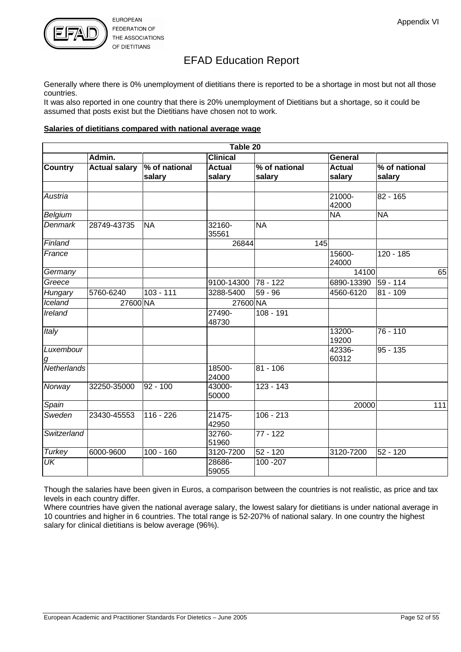

# EFAD Education Report

Generally where there is 0% unemployment of dietitians there is reported to be a shortage in most but not all those countries.

It was also reported in one country that there is 20% unemployment of Dietitians but a shortage, so it could be assumed that posts exist but the Dietitians have chosen not to work.

### **Salaries of dietitians compared with national average wage**

| Table 20                      |                      |               |                 |                 |                 |               |
|-------------------------------|----------------------|---------------|-----------------|-----------------|-----------------|---------------|
|                               | Admin.               |               | <b>Clinical</b> |                 | <b>General</b>  |               |
| <b>Country</b>                | <b>Actual salary</b> | % of national | <b>Actual</b>   | $%$ of national | <b>Actual</b>   | % of national |
|                               |                      | salary        | salary          | salary          | salary          | salary        |
|                               |                      |               |                 |                 |                 |               |
| Austria                       |                      |               |                 |                 | 21000-          | $82 - 165$    |
|                               |                      |               |                 |                 | 42000           |               |
| Belgium                       |                      |               |                 |                 | <b>NA</b>       | <b>NA</b>     |
| <b>Denmark</b>                | 28749-43735          | <b>NA</b>     | 32160-<br>35561 | <b>NA</b>       |                 |               |
| Finland                       |                      |               | 26844           |                 | 145             |               |
| France                        |                      |               |                 |                 | 15600-<br>24000 | $120 - 185$   |
| Germany                       |                      |               |                 |                 | 14100           | 65            |
| Greece                        |                      |               | 9100-14300      | 78 - 122        | 6890-13390      | 59 - 114      |
| Hungary                       | 5760-6240            | $103 - 111$   | 3288-5400       | $59 - 96$       | 4560-6120       | $81 - 109$    |
| <b>Iceland</b>                | 27600 NA             |               | 27600 NA        |                 |                 |               |
| <b>Ireland</b>                |                      |               | 27490-<br>48730 | $108 - 191$     |                 |               |
| Italy                         |                      |               |                 |                 | 13200-          | $76 - 110$    |
|                               |                      |               |                 |                 | 19200           |               |
| Luxembour<br>$\boldsymbol{g}$ |                      |               |                 |                 | 42336-<br>60312 | $95 - 135$    |
| Netherlands                   |                      |               | 18500-<br>24000 | $81 - 106$      |                 |               |
| Norway                        | 32250-35000          | $92 - 100$    | 43000-          | $123 - 143$     |                 |               |
|                               |                      |               | 50000           |                 |                 |               |
| Spain                         |                      |               |                 |                 | 20000           | 111           |
| Sweden                        | 23430-45553          | 116 - 226     | 21475-          | $106 - 213$     |                 |               |
|                               |                      |               | 42950           |                 |                 |               |
| Switzerland                   |                      |               | 32760-          | $77 - 122$      |                 |               |
|                               |                      |               | 51960           |                 |                 |               |
| <b>Turkey</b>                 | 6000-9600            | $100 - 160$   | 3120-7200       | 52 - 120        | 3120-7200       | $52 - 120$    |
| UK                            |                      |               | 28686-<br>59055 | 100 - 207       |                 |               |

Though the salaries have been given in Euros, a comparison between the countries is not realistic, as price and tax levels in each country differ.

Where countries have given the national average salary, the lowest salary for dietitians is under national average in 10 countries and higher in 6 countries. The total range is 52-207% of national salary. In one country the highest salary for clinical dietitians is below average (96%).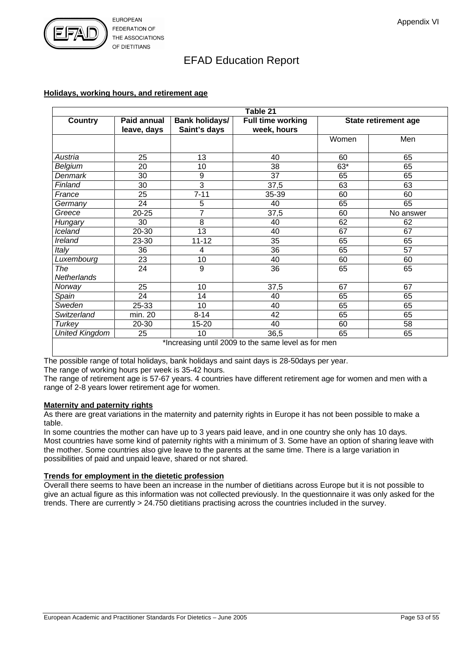

# EFAD Education Report

### **Holidays, working hours, and retirement age**

| Table 21                                            |             |                |                          |                      |           |  |
|-----------------------------------------------------|-------------|----------------|--------------------------|----------------------|-----------|--|
| <b>Country</b>                                      | Paid annual | Bank holidays/ | <b>Full time working</b> | State retirement age |           |  |
|                                                     | leave, days | Saint's days   | week, hours              |                      |           |  |
|                                                     |             |                |                          | Women                | Men       |  |
|                                                     |             |                |                          |                      |           |  |
| Austria                                             | 25          | 13             | 40                       | 60                   | 65        |  |
| Belgium                                             | 20          | 10             | 38                       | $63*$                | 65        |  |
| Denmark                                             | 30          | 9              | 37                       | 65                   | 65        |  |
| Finland                                             | 30          | $\overline{3}$ | 37,5                     | 63                   | 63        |  |
| France                                              | 25          | $7 - 11$       | 35-39                    | 60                   | 60        |  |
| Germany                                             | 24          | 5              | 40                       | 65                   | 65        |  |
| Greece                                              | 20-25       | 7              | 37,5                     | 60                   | No answer |  |
| <b>Hungary</b>                                      | 30          | 8              | 40                       | 62                   | 62        |  |
| Iceland                                             | 20-30       | 13             | 40                       | 67                   | 67        |  |
| Ireland                                             | 23-30       | $11 - 12$      | 35                       | 65                   | 65        |  |
| Italy                                               | 36          | 4              | 36                       | 65                   | 57        |  |
| Luxembourg                                          | 23          | 10             | 40                       | 60                   | 60        |  |
| The                                                 | 24          | 9              | 36                       | 65                   | 65        |  |
| Netherlands                                         |             |                |                          |                      |           |  |
| Norway                                              | 25          | 10             | 37,5                     | 67                   | 67        |  |
| Spain                                               | 24          | 14             | 40                       | 65                   | 65        |  |
| Sweden                                              | 25-33       | 10             | 40                       | 65                   | 65        |  |
| Switzerland                                         | min. 20     | $8 - 14$       | 42                       | 65                   | 65        |  |
| Turkey                                              | 20-30       | 15-20          | 40                       | 60                   | 58        |  |
| <b>United Kingdom</b>                               | 25          | 10             | 36,5                     | 65                   | 65        |  |
| *Increasing until 2009 to the same level as for men |             |                |                          |                      |           |  |

The possible range of total holidays, bank holidays and saint days is 28-50days per year.

The range of working hours per week is 35-42 hours.

The range of retirement age is 57-67 years. 4 countries have different retirement age for women and men with a range of 2-8 years lower retirement age for women.

### **Maternity and paternity rights**

As there are great variations in the maternity and paternity rights in Europe it has not been possible to make a table.

In some countries the mother can have up to 3 years paid leave, and in one country she only has 10 days. Most countries have some kind of paternity rights with a minimum of 3. Some have an option of sharing leave with the mother. Some countries also give leave to the parents at the same time. There is a large variation in possibilities of paid and unpaid leave, shared or not shared.

### **Trends for employment in the dietetic profession**

Overall there seems to have been an increase in the number of dietitians across Europe but it is not possible to give an actual figure as this information was not collected previously. In the questionnaire it was only asked for the trends. There are currently > 24.750 dietitians practising across the countries included in the survey.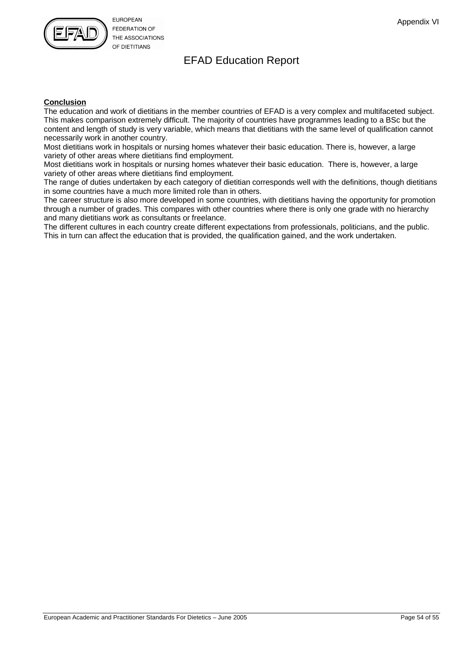

# EFAD Education Report

Appendix VI

### **Conclusion**

The education and work of dietitians in the member countries of EFAD is a very complex and multifaceted subject. This makes comparison extremely difficult. The majority of countries have programmes leading to a BSc but the content and length of study is very variable, which means that dietitians with the same level of qualification cannot necessarily work in another country.

Most dietitians work in hospitals or nursing homes whatever their basic education. There is, however, a large variety of other areas where dietitians find employment.

Most dietitians work in hospitals or nursing homes whatever their basic education. There is, however, a large variety of other areas where dietitians find employment.

The range of duties undertaken by each category of dietitian corresponds well with the definitions, though dietitians in some countries have a much more limited role than in others.

The career structure is also more developed in some countries, with dietitians having the opportunity for promotion through a number of grades. This compares with other countries where there is only one grade with no hierarchy and many dietitians work as consultants or freelance.

The different cultures in each country create different expectations from professionals, politicians, and the public. This in turn can affect the education that is provided, the qualification gained, and the work undertaken.